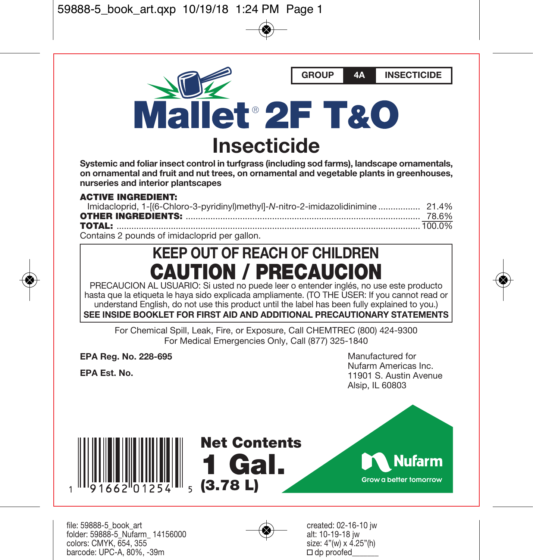**Mallet 2F T&O Insecticide** 

**Systemic and foliar insect control in turfgrass (including sod farms), landscape ornamentals, on ornamental and fruit and nut trees, on ornamental and vegetable plants in greenhouses, nurseries and interior plantscapes** 

#### **ACTIVE INGREDIENT:**

Contains 2 pounds of imidacloprid per gallon.

# **KEEP OUT OF REACH OF CHILDREN CAUTION / PRECAUCION**

PRECAUCION AL USUARIO: Si usted no puede leer o entender inglés, no use este producto hasta que la etiqueta le haya sido explicada ampliamente. (TO THE USER: If you cannot read or understand English, do not use this product until the label has been fully explained to you.)

**SEE INSIDE BOOKLET FOR FIRST AID AND ADDITIONAL PRECAUTIONARY STATEMENTS**

For Chemical Spill, Leak, Fire, or Exposure, Call CHEMTREC (800) 424-9300 For Medical Emergencies Only, Call (877) 325-1840

**EPA Reg. No. 228-695** 

**EPA Est. No.** 

Manufactured for Nufarm Americas Inc. 11901 S. Austin Avenue Alsip, IL 60803

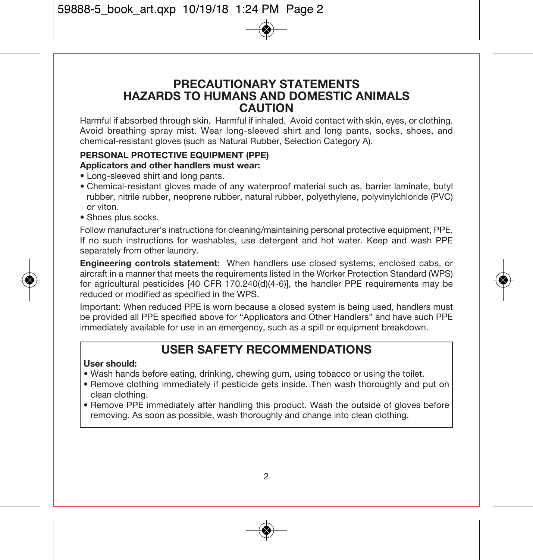### **PRECAUTIONARY STATEMENTS HAZARDS TO HUMANS AND DOMESTIC ANIMALS CAUTION**

Harmful if absorbed through skin. Harmful if inhaled. Avoid contact with skin, eyes, or clothing. Avoid breathing spray mist. Wear long-sleeved shirt and long pants, socks, shoes, and chemical-resistant gloves (such as Natural Rubber, Selection Category A).

#### **PERSONAL PROTECTIVE EQUIPMENT (PPE)**

#### **Applicators and other handlers must wear:**

- Long-sleeved shirt and long pants.
- Chemical-resistant gloves made of any waterproof material such as, barrier laminate, butyl rubber, nitrile rubber, neoprene rubber, natural rubber, polyethylene, polyvinylchloride (PVC) or viton.
- Shoes plus socks.

Follow manufacturer's instructions for cleaning/maintaining personal protective equipment, PPE. If no such instructions for washables, use detergent and hot water. Keep and wash PPE separately from other laundry.

**Engineering controls statement:** When handlers use closed systems, enclosed cabs, or aircraft in a manner that meets the requirements listed in the Worker Protection Standard (WPS) for agricultural pesticides [40 CFR 170.240(d)(4-6)], the handler PPE requirements may be reduced or modified as specified in the WPS.

Important: When reduced PPE is worn because a closed system is being used, handlers must be provided all PPE specified above for "Applicators and Other Handlers" and have such PPE immediately available for use in an emergency, such as a spill or equipment breakdown.

## **USER SAFETY RECOMMENDATIONS**

#### **User should:**

- Wash hands before eating, drinking, chewing gum, using tobacco or using the toilet.
- Remove clothing immediately if pesticide gets inside. Then wash thoroughly and put on clean clothing.
- Remove PPE immediately after handling this product. Wash the outside of gloves before removing. As soon as possible, wash thoroughly and change into clean clothing.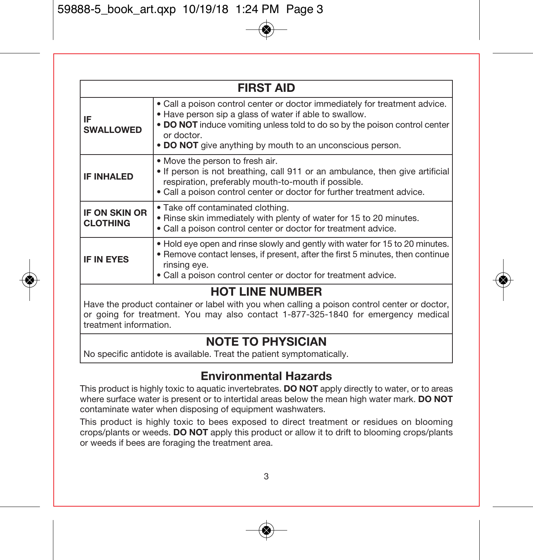|                                         | <b>FIRST AID</b>                                                                                                                                                                                                                                                                              |
|-----------------------------------------|-----------------------------------------------------------------------------------------------------------------------------------------------------------------------------------------------------------------------------------------------------------------------------------------------|
| IF<br><b>SWALLOWED</b>                  | • Call a poison control center or doctor immediately for treatment advice.<br>. Have person sip a glass of water if able to swallow.<br>. DO NOT induce vomiting unless told to do so by the poison control center<br>or doctor.<br>• DO NOT give anything by mouth to an unconscious person. |
| <b>IF INHALED</b>                       | • Move the person to fresh air.<br>. If person is not breathing, call 911 or an ambulance, then give artificial<br>respiration, preferably mouth-to-mouth if possible.<br>. Call a poison control center or doctor for further treatment advice.                                              |
| <b>IF ON SKIN OR</b><br><b>CLOTHING</b> | • Take off contaminated clothing.<br>. Rinse skin immediately with plenty of water for 15 to 20 minutes.<br>. Call a poison control center or doctor for treatment advice.                                                                                                                    |
| <b>IF IN EYES</b>                       | • Hold eye open and rinse slowly and gently with water for 15 to 20 minutes.<br>. Remove contact lenses, if present, after the first 5 minutes, then continue<br>rinsing eye.<br>• Call a poison control center or doctor for treatment advice.                                               |

# **HOT LINE NUMBER**

Have the product container or label with you when calling a poison control center or doctor, or going for treatment. You may also contact 1-877-325-1840 for emergency medical treatment information.

# **NOTE TO PHYSICIAN**

No specific antidote is available. Treat the patient symptomatically.

# **Environmental Hazards**

This product is highly toxic to aquatic invertebrates. **DO NOT** apply directly to water, or to areas where surface water is present or to intertidal areas below the mean high water mark. **DO NOT** contaminate water when disposing of equipment washwaters.

This product is highly toxic to bees exposed to direct treatment or residues on blooming crops/plants or weeds. **DO NOT** apply this product or allow it to drift to blooming crops/plants or weeds if bees are foraging the treatment area.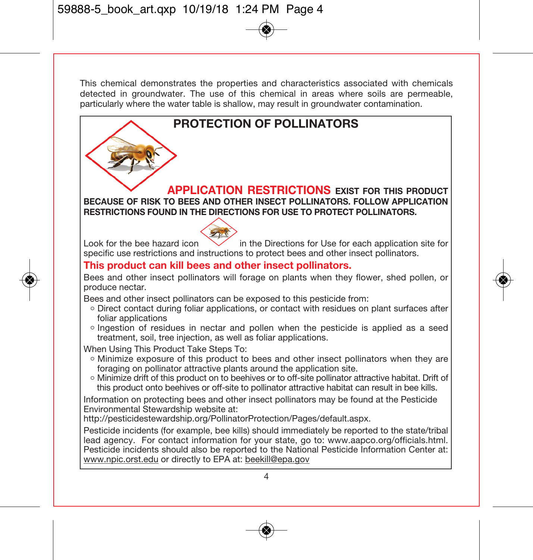This chemical demonstrates the properties and characteristics associated with chemicals detected in groundwater. The use of this chemical in areas where soils are permeable, particularly where the water table is shallow, may result in groundwater contamination.

# **PROTECTION OF POLLINATORS**

**APPLICATION RESTRICTIONS EXIST FOR THIS PRODUCT BECAUSE OF RISK TO BEES AND OTHER INSECT POLLINATORS. FOLLOW APPLICATION RESTRICTIONS FOUND IN THE DIRECTIONS FOR USE TO PROTECT POLLINATORS.**

Look for the bee hazard icon  $\vee$  in the Directions for Use for each application site for specific use restrictions and instructions to protect bees and other insect pollinators.

#### **This product can kill bees and other insect pollinators.**

Bees and other insect pollinators will forage on plants when they flower, shed pollen, or produce nectar.

Bees and other insect pollinators can be exposed to this pesticide from:

- Direct contact during foliar applications, or contact with residues on plant surfaces after foliar applications
- Ingestion of residues in nectar and pollen when the pesticide is applied as a seed treatment, soil, tree injection, as well as foliar applications.

When Using This Product Take Steps To:

- Minimize exposure of this product to bees and other insect pollinators when they are foraging on pollinator attractive plants around the application site.
- Minimize drift of this product on to beehives or to off-site pollinator attractive habitat. Drift of this product onto beehives or off-site to pollinator attractive habitat can result in bee kills.

Information on protecting bees and other insect pollinators may be found at the Pesticide Environmental Stewardship website at:

http://pesticidestewardship.org/PollinatorProtection/Pages/default.aspx.

Pesticide incidents (for example, bee kills) should immediately be reported to the state/tribal lead agency. For contact information for your state, go to: www.aapco.org/officials.html. Pesticide incidents should also be reported to the National Pesticide Information Center at: www.npic.orst.edu or directly to EPA at: beekill@epa.gov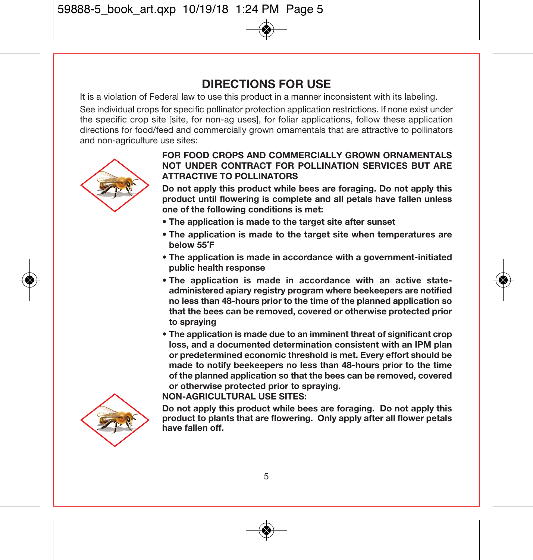# **DIRECTIONS FOR USE**

It is a violation of Federal law to use this product in a manner inconsistent with its labeling.

See individual crops for specific pollinator protection application restrictions. If none exist under the specific crop site [site, for non-ag uses], for foliar applications, follow these application directions for food/feed and commercially grown ornamentals that are attractive to pollinators and non-agriculture use sites:



#### **FOR FOOD CROPS AND COMMERCIALLY GROWN ORNAMENTALS NOT UNDER CONTRACT FOR POLLINATION SERVICES BUT ARE ATTRACTIVE TO POLLINATORS**

**Do not apply this product while bees are foraging. Do not apply this product until flowering is complete and all petals have fallen unless one of the following conditions is met:** 

- **The application is made to the target site after sunset**
- **The application is made to the target site when temperatures are below 55˚F**
- **The application is made in accordance with a government-initiated public health response**
- **The application is made in accordance with an active stateadministered apiary registry program where beekeepers are notified no less than 48-hours prior to the time of the planned application so that the bees can be removed, covered or otherwise protected prior to spraying**
- **The application is made due to an imminent threat of significant crop loss, and a documented determination consistent with an IPM plan or predetermined economic threshold is met. Every effort should be made to notify beekeepers no less than 48-hours prior to the time of the planned application so that the bees can be removed, covered or otherwise protected prior to spraying.**



#### **NON-AGRICULTURAL USE SITES:**

**Do not apply this product while bees are foraging. Do not apply this product to plants that are flowering. Only apply after all flower petals have fallen off.**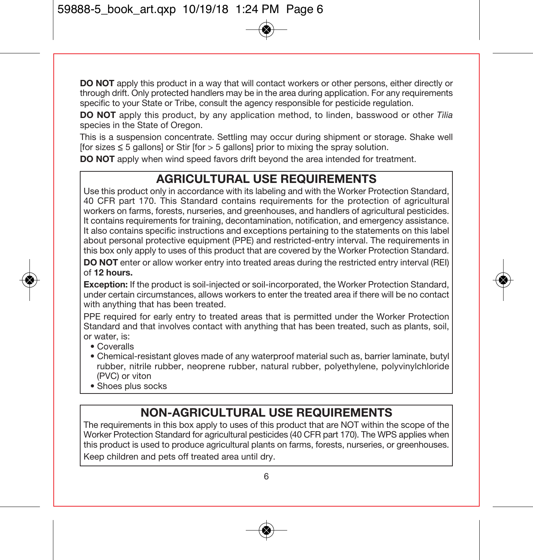**DO NOT** apply this product in a way that will contact workers or other persons, either directly or through drift. Only protected handlers may be in the area during application. For any requirements specific to your State or Tribe, consult the agency responsible for pesticide regulation.

**DO NOT** apply this product, by any application method, to linden, basswood or other Tilia species in the State of Oregon.

This is a suspension concentrate. Settling may occur during shipment or storage. Shake well  $[$ for sizes  $\leq$  5 gallons] or Stir  $[$ for  $>$  5 gallons] prior to mixing the spray solution.

**DO NOT** apply when wind speed favors drift beyond the area intended for treatment.

# **AGRICULTURAL USE REQUIREMENTS**

Use this product only in accordance with its labeling and with the Worker Protection Standard, 40 CFR part 170. This Standard contains requirements for the protection of agricultural workers on farms, forests, nurseries, and greenhouses, and handlers of agricultural pesticides. It contains requirements for training, decontamination, notification, and emergency assistance. It also contains specific instructions and exceptions pertaining to the statements on this label about personal protective equipment (PPE) and restricted-entry interval. The requirements in this box only apply to uses of this product that are covered by the Worker Protection Standard.

**DO NOT** enter or allow worker entry into treated areas during the restricted entry interval (REI) of **12 hours.** 

**Exception:** If the product is soil-injected or soil-incorporated, the Worker Protection Standard, under certain circumstances, allows workers to enter the treated area if there will be no contact with anything that has been treated.

PPE required for early entry to treated areas that is permitted under the Worker Protection Standard and that involves contact with anything that has been treated, such as plants, soil, or water, is:

- Coveralls
- Chemical-resistant gloves made of any waterproof material such as, barrier laminate, butyl rubber, nitrile rubber, neoprene rubber, natural rubber, polyethylene, polyvinylchloride (PVC) or viton
- Shoes plus socks

# **NON-AGRICULTURAL USE REQUIREMENTS**

The requirements in this box apply to uses of this product that are NOT within the scope of the Worker Protection Standard for agricultural pesticides (40 CFR part 170). The WPS applies when this product is used to produce agricultural plants on farms, forests, nurseries, or greenhouses. Keep children and pets off treated area until dry.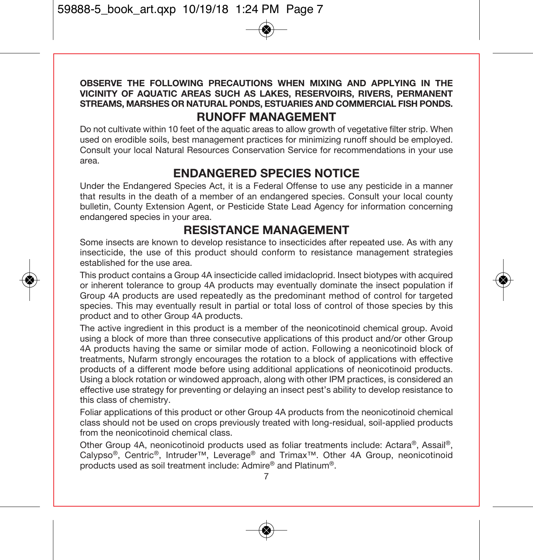#### **OBSERVE THE FOLLOWING PRECAUTIONS WHEN MIXING AND APPLYING IN THE VICINITY OF AQUATIC AREAS SUCH AS LAKES, RESERVOIRS, RIVERS, PERMANENT STREAMS, MARSHES OR NATURAL PONDS, ESTUARIES AND COMMERCIAL FISH PONDS. RUNOFF MANAGEMENT**

Do not cultivate within 10 feet of the aquatic areas to allow growth of vegetative filter strip. When used on erodible soils, best management practices for minimizing runoff should be employed. Consult your local Natural Resources Conservation Service for recommendations in your use area.

# **ENDANGERED SPECIES NOTICE**

Under the Endangered Species Act, it is a Federal Offense to use any pesticide in a manner that results in the death of a member of an endangered species. Consult your local county bulletin, County Extension Agent, or Pesticide State Lead Agency for information concerning endangered species in your area.

## **RESISTANCE MANAGEMENT**

Some insects are known to develop resistance to insecticides after repeated use. As with any insecticide, the use of this product should conform to resistance management strategies established for the use area.

This product contains a Group 4A insecticide called imidacloprid. Insect biotypes with acquired or inherent tolerance to group 4A products may eventually dominate the insect population if Group 4A products are used repeatedly as the predominant method of control for targeted species. This may eventually result in partial or total loss of control of those species by this product and to other Group 4A products.

The active ingredient in this product is a member of the neonicotinoid chemical group. Avoid using a block of more than three consecutive applications of this product and/or other Group 4A products having the same or similar mode of action. Following a neonicotinoid block of treatments, Nufarm strongly encourages the rotation to a block of applications with effective products of a different mode before using additional applications of neonicotinoid products. Using a block rotation or windowed approach, along with other IPM practices, is considered an effective use strategy for preventing or delaying an insect pest's ability to develop resistance to this class of chemistry.

Foliar applications of this product or other Group 4A products from the neonicotinoid chemical class should not be used on crops previously treated with long-residual, soil-applied products from the neonicotinoid chemical class.

Other Group 4A, neonicotinoid products used as foliar treatments include: Actara®, Assail®, Calypso®, Centric®, Intruder™, Leverage® and Trimax™. Other 4A Group, neonicotinoid products used as soil treatment include: Admire® and Platinum®.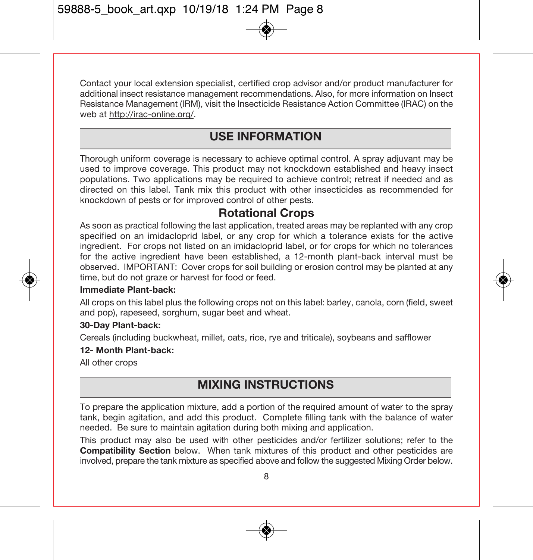Contact your local extension specialist, certified crop advisor and/or product manufacturer for additional insect resistance management recommendations. Also, for more information on Insect Resistance Management (IRM), visit the Insecticide Resistance Action Committee (IRAC) on the web at http://irac-online.org/.

# **USE INFORMATION**

Thorough uniform coverage is necessary to achieve optimal control. A spray adjuvant may be used to improve coverage. This product may not knockdown established and heavy insect populations. Two applications may be required to achieve control; retreat if needed and as directed on this label. Tank mix this product with other insecticides as recommended for knockdown of pests or for improved control of other pests.

## **Rotational Crops**

As soon as practical following the last application, treated areas may be replanted with any crop specified on an imidacloprid label, or any crop for which a tolerance exists for the active ingredient. For crops not listed on an imidacloprid label, or for crops for which no tolerances for the active ingredient have been established, a 12-month plant-back interval must be observed. IMPORTANT: Cover crops for soil building or erosion control may be planted at any time, but do not graze or harvest for food or feed.

#### **Immediate Plant-back:**

All crops on this label plus the following crops not on this label: barley, canola, corn (field, sweet and pop), rapeseed, sorghum, sugar beet and wheat.

#### **30-Day Plant-back:**

Cereals (including buckwheat, millet, oats, rice, rye and triticale), soybeans and safflower

#### **12- Month Plant-back:**

All other crops

# **MIXING INSTRUCTIONS**

To prepare the application mixture, add a portion of the required amount of water to the spray tank, begin agitation, and add this product. Complete filling tank with the balance of water needed. Be sure to maintain agitation during both mixing and application.

This product may also be used with other pesticides and/or fertilizer solutions; refer to the **Compatibility Section** below. When tank mixtures of this product and other pesticides are involved, prepare the tank mixture as specified above and follow the suggested Mixing Order below.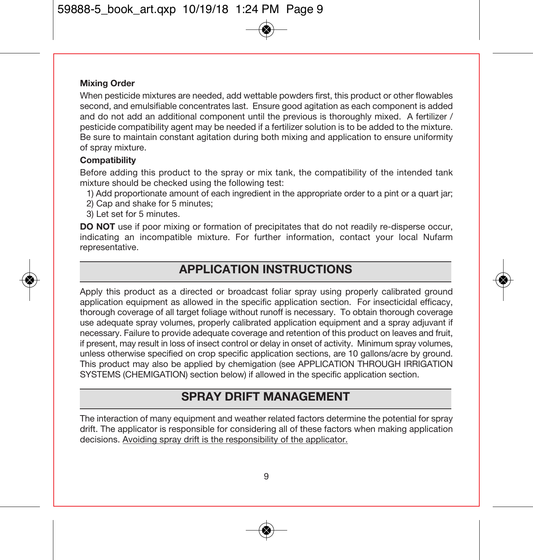#### **Mixing Order**

When pesticide mixtures are needed, add wettable powders first, this product or other flowables second, and emulsifiable concentrates last. Ensure good agitation as each component is added and do not add an additional component until the previous is thoroughly mixed. A fertilizer / pesticide compatibility agent may be needed if a fertilizer solution is to be added to the mixture. Be sure to maintain constant agitation during both mixing and application to ensure uniformity of spray mixture.

#### **Compatibility**

Before adding this product to the spray or mix tank, the compatibility of the intended tank mixture should be checked using the following test:

- 1) Add proportionate amount of each ingredient in the appropriate order to a pint or a quart jar;
- 2) Cap and shake for 5 minutes;
- 3) Let set for 5 minutes.

**DO NOT** use if poor mixing or formation of precipitates that do not readily re-disperse occur, indicating an incompatible mixture. For further information, contact your local Nufarm representative.

## **APPLICATION INSTRUCTIONS**

Apply this product as a directed or broadcast foliar spray using properly calibrated ground application equipment as allowed in the specific application section. For insecticidal efficacy, thorough coverage of all target foliage without runoff is necessary. To obtain thorough coverage use adequate spray volumes, properly calibrated application equipment and a spray adjuvant if necessary. Failure to provide adequate coverage and retention of this product on leaves and fruit, if present, may result in loss of insect control or delay in onset of activity. Minimum spray volumes, unless otherwise specified on crop specific application sections, are 10 gallons/acre by ground. This product may also be applied by chemigation (see APPLICATION THROUGH IRRIGATION SYSTEMS (CHEMIGATION) section below) if allowed in the specific application section.

## **SPRAY DRIFT MANAGEMENT**

The interaction of many equipment and weather related factors determine the potential for spray drift. The applicator is responsible for considering all of these factors when making application decisions. Avoiding spray drift is the responsibility of the applicator.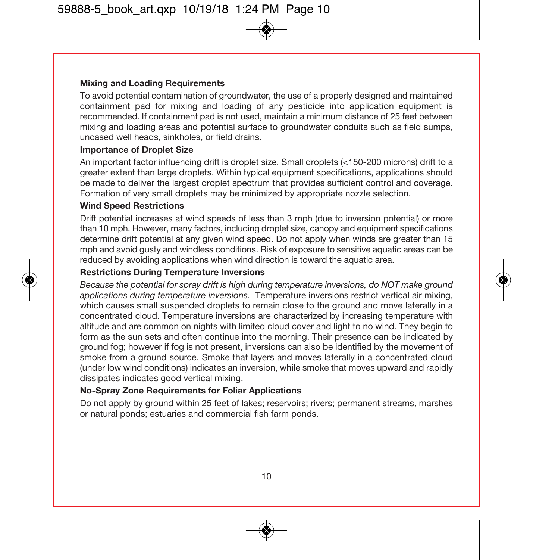#### **Mixing and Loading Requirements**

To avoid potential contamination of groundwater, the use of a properly designed and maintained containment pad for mixing and loading of any pesticide into application equipment is recommended. If containment pad is not used, maintain a minimum distance of 25 feet between mixing and loading areas and potential surface to groundwater conduits such as field sumps, uncased well heads, sinkholes, or field drains.

#### **Importance of Droplet Size**

An important factor influencing drift is droplet size. Small droplets (<150-200 microns) drift to a greater extent than large droplets. Within typical equipment specifications, applications should be made to deliver the largest droplet spectrum that provides sufficient control and coverage. Formation of very small droplets may be minimized by appropriate nozzle selection.

#### **Wind Speed Restrictions**

Drift potential increases at wind speeds of less than 3 mph (due to inversion potential) or more than 10 mph. However, many factors, including droplet size, canopy and equipment specifications determine drift potential at any given wind speed. Do not apply when winds are greater than 15 mph and avoid gusty and windless conditions. Risk of exposure to sensitive aquatic areas can be reduced by avoiding applications when wind direction is toward the aquatic area.

#### **Restrictions During Temperature Inversions**

Because the potential for spray drift is high during temperature inversions, do NOT make ground applications during temperature inversions. Temperature inversions restrict vertical air mixing, which causes small suspended droplets to remain close to the ground and move laterally in a concentrated cloud. Temperature inversions are characterized by increasing temperature with altitude and are common on nights with limited cloud cover and light to no wind. They begin to form as the sun sets and often continue into the morning. Their presence can be indicated by ground fog; however if fog is not present, inversions can also be identified by the movement of smoke from a ground source. Smoke that layers and moves laterally in a concentrated cloud (under low wind conditions) indicates an inversion, while smoke that moves upward and rapidly dissipates indicates good vertical mixing.

#### **No-Spray Zone Requirements for Foliar Applications**

Do not apply by ground within 25 feet of lakes; reservoirs; rivers; permanent streams, marshes or natural ponds; estuaries and commercial fish farm ponds.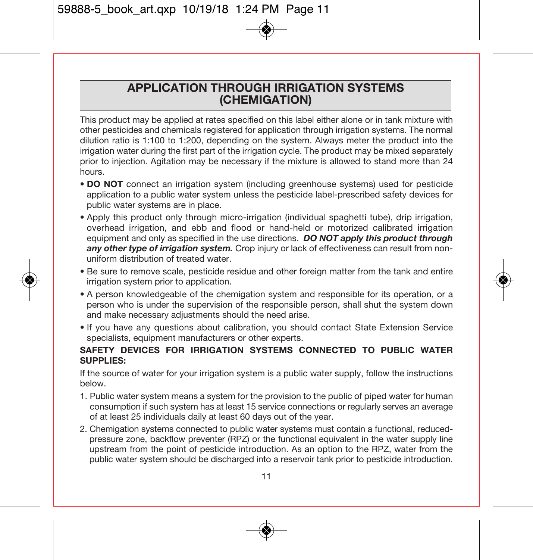### **APPLICATION THROUGH IRRIGATION SYSTEMS (CHEMIGATION)**

This product may be applied at rates specified on this label either alone or in tank mixture with other pesticides and chemicals registered for application through irrigation systems. The normal dilution ratio is 1:100 to 1:200, depending on the system. Always meter the product into the irrigation water during the first part of the irrigation cycle. The product may be mixed separately prior to injection. Agitation may be necessary if the mixture is allowed to stand more than 24 hours.

- **DO NOT** connect an irrigation system (including greenhouse systems) used for pesticide application to a public water system unless the pesticide label-prescribed safety devices for public water systems are in place.
- Apply this product only through micro-irrigation (individual spaghetti tube), drip irrigation, overhead irrigation, and ebb and flood or hand-held or motorized calibrated irrigation equipment and only as specified in the use directions. *DO NOT apply this product through any other type of irrigation system.* Crop injury or lack of effectiveness can result from nonuniform distribution of treated water.
- Be sure to remove scale, pesticide residue and other foreign matter from the tank and entire irrigation system prior to application.
- A person knowledgeable of the chemigation system and responsible for its operation, or a person who is under the supervision of the responsible person, shall shut the system down and make necessary adjustments should the need arise.
- If you have any questions about calibration, you should contact State Extension Service specialists, equipment manufacturers or other experts.

#### **SAFETY DEVICES FOR IRRIGATION SYSTEMS CONNECTED TO PUBLIC WATER SUPPLIES:**

If the source of water for your irrigation system is a public water supply, follow the instructions below.

- 1. Public water system means a system for the provision to the public of piped water for human consumption if such system has at least 15 service connections or regularly serves an average of at least 25 individuals daily at least 60 days out of the year.
- 2. Chemigation systems connected to public water systems must contain a functional, reducedpressure zone, backflow preventer (RPZ) or the functional equivalent in the water supply line upstream from the point of pesticide introduction. As an option to the RPZ, water from the public water system should be discharged into a reservoir tank prior to pesticide introduction.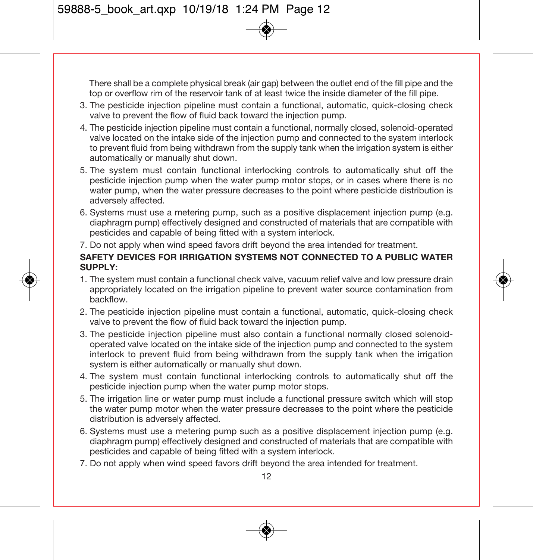There shall be a complete physical break (air gap) between the outlet end of the fill pipe and the top or overflow rim of the reservoir tank of at least twice the inside diameter of the fill pipe.

- 3. The pesticide injection pipeline must contain a functional, automatic, quick-closing check valve to prevent the flow of fluid back toward the injection pump.
- 4. The pesticide injection pipeline must contain a functional, normally closed, solenoid-operated valve located on the intake side of the injection pump and connected to the system interlock to prevent fluid from being withdrawn from the supply tank when the irrigation system is either automatically or manually shut down.
- 5. The system must contain functional interlocking controls to automatically shut off the pesticide injection pump when the water pump motor stops, or in cases where there is no water pump, when the water pressure decreases to the point where pesticide distribution is adversely affected.
- 6. Systems must use a metering pump, such as a positive displacement injection pump (e.g. diaphragm pump) effectively designed and constructed of materials that are compatible with pesticides and capable of being fitted with a system interlock.
- 7. Do not apply when wind speed favors drift beyond the area intended for treatment.

#### **SAFETY DEVICES FOR IRRIGATION SYSTEMS NOT CONNECTED TO A PUBLIC WATER SUPPLY:**

- 1. The system must contain a functional check valve, vacuum relief valve and low pressure drain appropriately located on the irrigation pipeline to prevent water source contamination from backflow.
- 2. The pesticide injection pipeline must contain a functional, automatic, quick-closing check valve to prevent the flow of fluid back toward the injection pump.
- 3. The pesticide injection pipeline must also contain a functional normally closed solenoidoperated valve located on the intake side of the injection pump and connected to the system interlock to prevent fluid from being withdrawn from the supply tank when the irrigation system is either automatically or manually shut down.
- 4. The system must contain functional interlocking controls to automatically shut off the pesticide injection pump when the water pump motor stops.
- 5. The irrigation line or water pump must include a functional pressure switch which will stop the water pump motor when the water pressure decreases to the point where the pesticide distribution is adversely affected.
- 6. Systems must use a metering pump such as a positive displacement injection pump (e.g. diaphragm pump) effectively designed and constructed of materials that are compatible with pesticides and capable of being fitted with a system interlock.
- 7. Do not apply when wind speed favors drift beyond the area intended for treatment.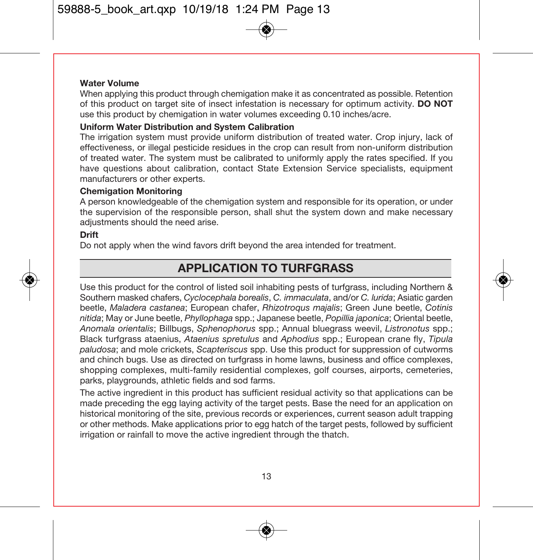#### **Water Volume**

When applying this product through chemigation make it as concentrated as possible. Retention of this product on target site of insect infestation is necessary for optimum activity. **DO NOT** use this product by chemigation in water volumes exceeding 0.10 inches/acre.

#### **Uniform Water Distribution and System Calibration**

The irrigation system must provide uniform distribution of treated water. Crop injury, lack of effectiveness, or illegal pesticide residues in the crop can result from non-uniform distribution of treated water. The system must be calibrated to uniformly apply the rates specified. If you have questions about calibration, contact State Extension Service specialists, equipment manufacturers or other experts.

#### **Chemigation Monitoring**

A person knowledgeable of the chemigation system and responsible for its operation, or under the supervision of the responsible person, shall shut the system down and make necessary adjustments should the need arise.

#### **Drift**

Do not apply when the wind favors drift beyond the area intended for treatment.

## **APPLICATION TO TURFGRASS**

Use this product for the control of listed soil inhabiting pests of turfgrass, including Northern & Southern masked chafers, Cyclocephala borealis, C. immaculata, and/or C. lurida; Asiatic garden beetle, Maladera castanea; European chafer, Rhizotroqus majalis; Green June beetle, Cotinis nitida; May or June beetle, Phyllophaga spp.; Japanese beetle, Popillia japonica; Oriental beetle, Anomala orientalis; Billbugs, Sphenophorus spp.; Annual bluegrass weevil, Listronotus spp.; Black turfgrass ataenius, Ataenius spretulus and Aphodius spp.; European crane fly, Tipula paludosa; and mole crickets, Scapteriscus spp. Use this product for suppression of cutworms and chinch bugs. Use as directed on turfgrass in home lawns, business and office complexes, shopping complexes, multi-family residential complexes, golf courses, airports, cemeteries, parks, playgrounds, athletic fields and sod farms.

The active ingredient in this product has sufficient residual activity so that applications can be made preceding the egg laying activity of the target pests. Base the need for an application on historical monitoring of the site, previous records or experiences, current season adult trapping or other methods. Make applications prior to egg hatch of the target pests, followed by sufficient irrigation or rainfall to move the active ingredient through the thatch.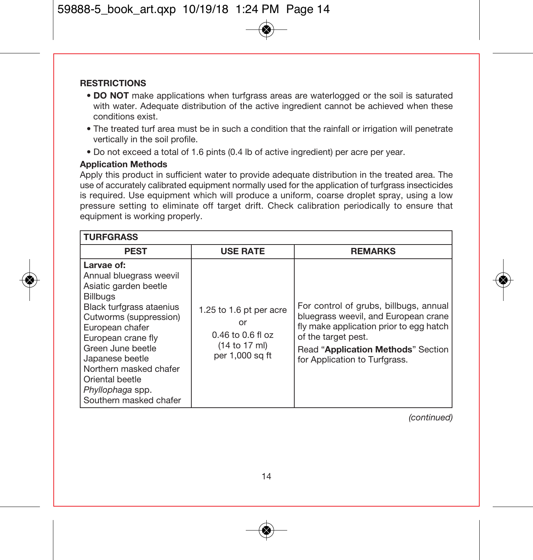#### **RESTRICTIONS**

- **DO NOT** make applications when turfgrass areas are waterlogged or the soil is saturated with water. Adequate distribution of the active ingredient cannot be achieved when these conditions exist.
- The treated turf area must be in such a condition that the rainfall or irrigation will penetrate vertically in the soil profile.
- Do not exceed a total of 1.6 pints (0.4 lb of active ingredient) per acre per year.

#### **Application Methods**

Apply this product in sufficient water to provide adequate distribution in the treated area. The use of accurately calibrated equipment normally used for the application of turfgrass insecticides is required. Use equipment which will produce a uniform, coarse droplet spray, using a low pressure setting to eliminate off target drift. Check calibration periodically to ensure that equipment is working properly.

| <b>TURFGRASS</b>                                                                                                                                                                                                                                                                                                    |                                                                                            |                                                                                                                                                                                                                         |
|---------------------------------------------------------------------------------------------------------------------------------------------------------------------------------------------------------------------------------------------------------------------------------------------------------------------|--------------------------------------------------------------------------------------------|-------------------------------------------------------------------------------------------------------------------------------------------------------------------------------------------------------------------------|
| <b>PEST</b>                                                                                                                                                                                                                                                                                                         | <b>USE RATE</b>                                                                            | <b>REMARKS</b>                                                                                                                                                                                                          |
| Larvae of:<br>Annual bluegrass weevil<br>Asiatic garden beetle<br><b>Billbugs</b><br>Black turfgrass ataenius<br>Cutworms (suppression)<br>European chafer<br>European crane fly<br>Green June beetle<br>Japanese beetle<br>Northern masked chafer<br>Oriental beetle<br>Phyllophaga spp.<br>Southern masked chafer | 1.25 to 1.6 pt per acre<br>or<br>$0.46$ to $0.6$ fl oz<br>(14 to 17 ml)<br>per 1,000 sq ft | For control of grubs, billbugs, annual<br>bluegrass weevil, and European crane<br>fly make application prior to egg hatch<br>of the target pest.<br>Read "Application Methods" Section<br>for Application to Turfgrass. |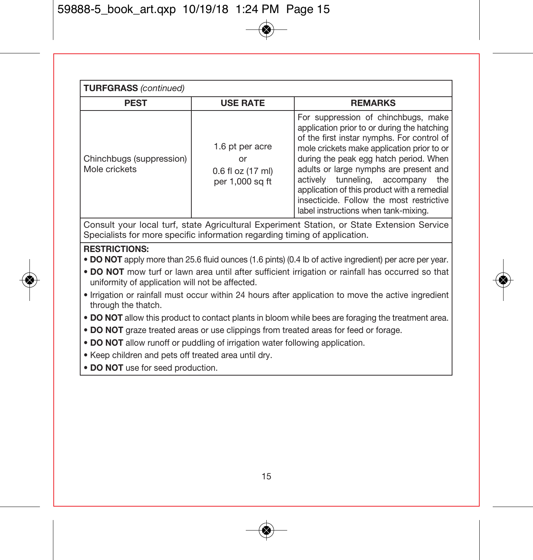| <b>TURFGRASS (continued)</b>              |                                                               |                                                                                                                                                                                                                                                                                                                                                                                                                                               |  |
|-------------------------------------------|---------------------------------------------------------------|-----------------------------------------------------------------------------------------------------------------------------------------------------------------------------------------------------------------------------------------------------------------------------------------------------------------------------------------------------------------------------------------------------------------------------------------------|--|
| <b>PEST</b>                               | <b>USE RATE</b>                                               | <b>REMARKS</b>                                                                                                                                                                                                                                                                                                                                                                                                                                |  |
| Chinchbugs (suppression)<br>Mole crickets | 1.6 pt per acre<br>or<br>0.6 fl oz (17 ml)<br>per 1,000 sq ft | For suppression of chinchbugs, make<br>application prior to or during the hatching<br>of the first instar nymphs. For control of<br>mole crickets make application prior to or<br>during the peak egg hatch period. When<br>adults or large nymphs are present and<br>actively tunneling, accompany<br>the<br>application of this product with a remedial<br>insecticide. Follow the most restrictive<br>label instructions when tank-mixing. |  |

Consult your local turf, state Agricultural Experiment Station, or State Extension Service Specialists for more specific information regarding timing of application.

#### **RESTRICTIONS:**

- **DO NOT** apply more than 25.6 fluid ounces (1.6 pints) (0.4 lb of active ingredient) per acre per year.
- **DO NOT** mow turf or lawn area until after sufficient irrigation or rainfall has occurred so that uniformity of application will not be affected.
- Irrigation or rainfall must occur within 24 hours after application to move the active ingredient through the thatch.
- **DO NOT** allow this product to contact plants in bloom while bees are foraging the treatment area.
- **DO NOT** graze treated areas or use clippings from treated areas for feed or forage.
- **DO NOT** allow runoff or puddling of irrigation water following application.
- Keep children and pets off treated area until dry.
- **DO NOT** use for seed production.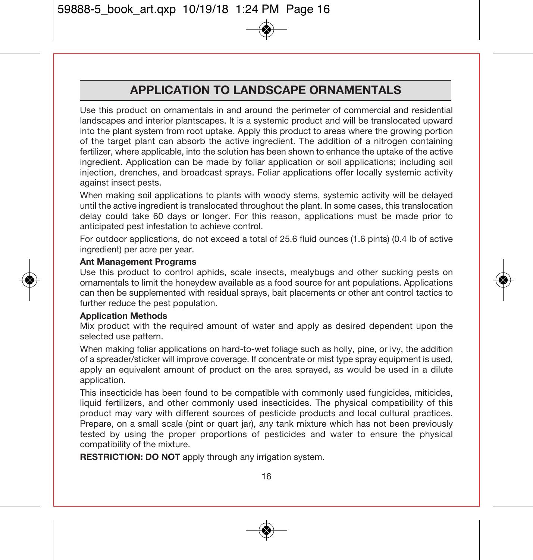# **APPLICATION TO LANDSCAPE ORNAMENTALS**

Use this product on ornamentals in and around the perimeter of commercial and residential landscapes and interior plantscapes. It is a systemic product and will be translocated upward into the plant system from root uptake. Apply this product to areas where the growing portion of the target plant can absorb the active ingredient. The addition of a nitrogen containing fertilizer, where applicable, into the solution has been shown to enhance the uptake of the active ingredient. Application can be made by foliar application or soil applications; including soil injection, drenches, and broadcast sprays. Foliar applications offer locally systemic activity against insect pests.

When making soil applications to plants with woody stems, systemic activity will be delayed until the active ingredient is translocated throughout the plant. In some cases, this translocation delay could take 60 days or longer. For this reason, applications must be made prior to anticipated pest infestation to achieve control.

For outdoor applications, do not exceed a total of 25.6 fluid ounces (1.6 pints) (0.4 lb of active ingredient) per acre per year.

#### **Ant Management Programs**

Use this product to control aphids, scale insects, mealybugs and other sucking pests on ornamentals to limit the honeydew available as a food source for ant populations. Applications can then be supplemented with residual sprays, bait placements or other ant control tactics to further reduce the pest population.

#### **Application Methods**

Mix product with the required amount of water and apply as desired dependent upon the selected use pattern.

When making foliar applications on hard-to-wet foliage such as holly, pine, or ivy, the addition of a spreader/sticker will improve coverage. If concentrate or mist type spray equipment is used, apply an equivalent amount of product on the area sprayed, as would be used in a dilute application.

This insecticide has been found to be compatible with commonly used fungicides, miticides, liquid fertilizers, and other commonly used insecticides. The physical compatibility of this product may vary with different sources of pesticide products and local cultural practices. Prepare, on a small scale (pint or quart jar), any tank mixture which has not been previously tested by using the proper proportions of pesticides and water to ensure the physical compatibility of the mixture.

**RESTRICTION: DO NOT** apply through any irrigation system.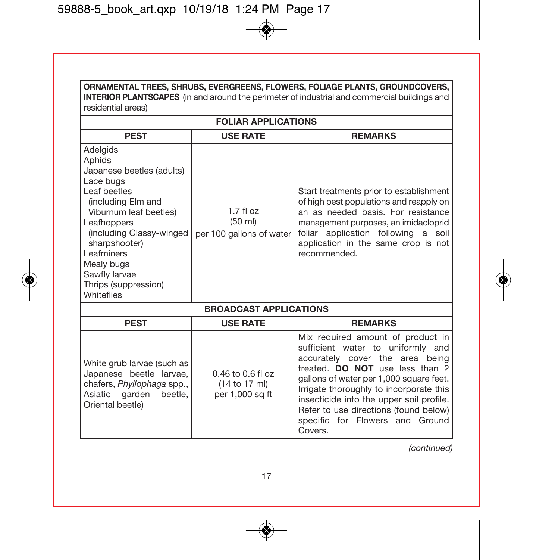| <b>INTERIOR PLANTSCAPES</b> (in and around the perimeter of industrial and commercial buildings and<br>residential areas)                                                                                                                                                   |                                                           |                                                                                                                                                                                                                                                                                                                                                                       |  |
|-----------------------------------------------------------------------------------------------------------------------------------------------------------------------------------------------------------------------------------------------------------------------------|-----------------------------------------------------------|-----------------------------------------------------------------------------------------------------------------------------------------------------------------------------------------------------------------------------------------------------------------------------------------------------------------------------------------------------------------------|--|
|                                                                                                                                                                                                                                                                             | <b>FOLIAR APPLICATIONS</b>                                |                                                                                                                                                                                                                                                                                                                                                                       |  |
| <b>PEST</b><br><b>USE RATE</b><br><b>REMARKS</b>                                                                                                                                                                                                                            |                                                           |                                                                                                                                                                                                                                                                                                                                                                       |  |
| Adelgids<br>Aphids<br>Japanese beetles (adults)<br>Lace bugs<br>Leaf beetles<br>(including Elm and<br>Viburnum leaf beetles)<br>Leafhoppers<br>(including Glassy-winged<br>sharpshooter)<br>Leafminers<br>Mealy bugs<br>Sawfly larvae<br>Thrips (suppression)<br>Whiteflies | $1.7 f$ l oz<br>(50 ml)<br>per 100 gallons of water       | Start treatments prior to establishment<br>of high pest populations and reapply on<br>an as needed basis. For resistance<br>management purposes, an imidacloprid<br>foliar application following<br>a<br>soil<br>application in the same crop is not<br>recommended.                                                                                                  |  |
|                                                                                                                                                                                                                                                                             | <b>BROADCAST APPLICATIONS</b>                             |                                                                                                                                                                                                                                                                                                                                                                       |  |
| <b>PEST</b>                                                                                                                                                                                                                                                                 | <b>USE RATE</b>                                           | <b>REMARKS</b>                                                                                                                                                                                                                                                                                                                                                        |  |
| White grub larvae (such as<br>Japanese beetle larvae,<br>chafers, Phyllophaga spp.,<br>Asiatic garden<br>beetle,<br>Oriental beetle)                                                                                                                                        | $0.46$ to $0.6$ fl oz<br>(14 to 17 ml)<br>per 1,000 sq ft | Mix required amount of product in<br>sufficient water to uniformly and<br>accurately cover the area being<br>treated. DO NOT use less than 2<br>gallons of water per 1,000 square feet.<br>Irrigate thoroughly to incorporate this<br>insecticide into the upper soil profile.<br>Refer to use directions (found below)<br>specific for Flowers and Ground<br>Covers. |  |

**ORNAMENTAL TREES, SHRUBS, EVERGREENS, FLOWERS, FOLIAGE PLANTS, GROUNDCOVERS,**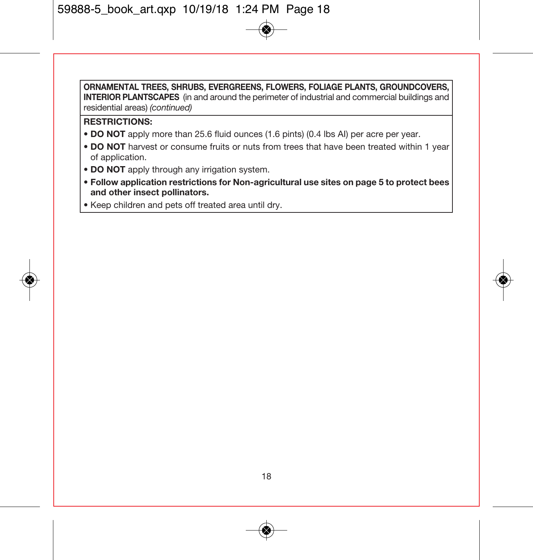**ORNAMENTAL TREES, SHRUBS, EVERGREENS, FLOWERS, FOLIAGE PLANTS, GROUNDCOVERS, INTERIOR PLANTSCAPES** (in and around the perimeter of industrial and commercial buildings and residential areas) (continued)

#### **RESTRICTIONS:**

- **DO NOT** apply more than 25.6 fluid ounces (1.6 pints) (0.4 lbs AI) per acre per year.
- **DO NOT** harvest or consume fruits or nuts from trees that have been treated within 1 year of application.
- **DO NOT** apply through any irrigation system.
- **Follow application restrictions for Non-agricultural use sites on page 5 to protect bees and other insect pollinators.**
- Keep children and pets off treated area until dry.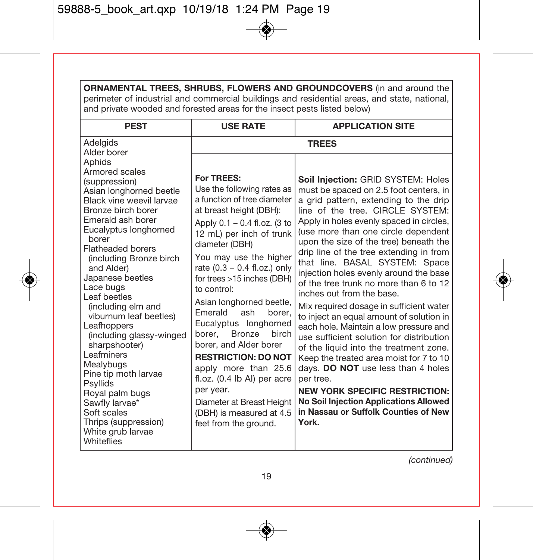| ORNAMENTAL TREES, SHRUBS, FLOWERS AND GROUNDCOVERS (in and around the<br>perimeter of industrial and commercial buildings and residential areas, and state, national,<br>and private wooded and forested areas for the insect pests listed below)                                                                                                                                                                                                                                                                                                                                                                        |                                                                                                                                                                                                                                                                                                                                                                                                                                                                                                                                                                                                                       |                                                                                                                                                                                                                                                                                                                                                                                                                                                                                                                                                                                                                                                                                                                                                                                                                                                                                                                                                                      |  |
|--------------------------------------------------------------------------------------------------------------------------------------------------------------------------------------------------------------------------------------------------------------------------------------------------------------------------------------------------------------------------------------------------------------------------------------------------------------------------------------------------------------------------------------------------------------------------------------------------------------------------|-----------------------------------------------------------------------------------------------------------------------------------------------------------------------------------------------------------------------------------------------------------------------------------------------------------------------------------------------------------------------------------------------------------------------------------------------------------------------------------------------------------------------------------------------------------------------------------------------------------------------|----------------------------------------------------------------------------------------------------------------------------------------------------------------------------------------------------------------------------------------------------------------------------------------------------------------------------------------------------------------------------------------------------------------------------------------------------------------------------------------------------------------------------------------------------------------------------------------------------------------------------------------------------------------------------------------------------------------------------------------------------------------------------------------------------------------------------------------------------------------------------------------------------------------------------------------------------------------------|--|
| <b>PEST</b>                                                                                                                                                                                                                                                                                                                                                                                                                                                                                                                                                                                                              | <b>USE RATE</b>                                                                                                                                                                                                                                                                                                                                                                                                                                                                                                                                                                                                       | <b>APPLICATION SITE</b>                                                                                                                                                                                                                                                                                                                                                                                                                                                                                                                                                                                                                                                                                                                                                                                                                                                                                                                                              |  |
| Adelgids<br>Alder borer<br>Aphids<br>Armored scales<br>(suppression)<br>Asian longhorned beetle<br>Black vine weevil larvae<br>Bronze birch borer<br>Emerald ash borer<br>Eucalyptus longhorned<br>borer<br><b>Flatheaded borers</b><br>(including Bronze birch<br>and Alder)<br>Japanese beetles<br>Lace bugs<br>Leaf beetles<br>(including elm and<br>viburnum leaf beetles)<br>Leafhoppers<br>(including glassy-winged<br>sharpshooter)<br>Leafminers<br>Mealybugs<br>Pine tip moth larvae<br>Psyllids<br>Royal palm bugs<br>Sawfly larvae*<br>Soft scales<br>Thrips (suppression)<br>White grub larvae<br>Whiteflies | For TREES:<br>Use the following rates as<br>a function of tree diameter<br>at breast height (DBH):<br>Apply 0.1 - 0.4 fl.oz. (3 to<br>12 mL) per inch of trunk<br>diameter (DBH)<br>You may use the higher<br>rate $(0.3 - 0.4$ fl.oz.) only<br>for trees >15 inches (DBH)<br>to control:<br>Asian longhorned beetle,<br>Emerald<br>ash<br>borer,<br>Eucalyptus longhorned<br>Bronze<br>borer.<br>birch<br>borer, and Alder borer<br><b>RESTRICTION: DO NOT</b><br>apply more than 25.6<br>fl.oz. (0.4 lb Al) per acre<br>per year.<br>Diameter at Breast Height<br>(DBH) is measured at 4.5<br>feet from the around. | <b>TREES</b><br>Soil Injection: GRID SYSTEM: Holes<br>must be spaced on 2.5 foot centers, in<br>a grid pattern, extending to the drip<br>line of the tree. CIRCLE SYSTEM:<br>Apply in holes evenly spaced in circles,<br>(use more than one circle dependent<br>upon the size of the tree) beneath the<br>drip line of the tree extending in from<br>that line. BASAL SYSTEM: Space<br>injection holes evenly around the base<br>of the tree trunk no more than 6 to 12<br>inches out from the base.<br>Mix required dosage in sufficient water<br>to inject an equal amount of solution in<br>each hole. Maintain a low pressure and<br>use sufficient solution for distribution<br>of the liquid into the treatment zone.<br>Keep the treated area moist for 7 to 10<br>days. DO NOT use less than 4 holes<br>per tree.<br><b>NEW YORK SPECIFIC RESTRICTION:</b><br><b>No Soil Injection Applications Allowed</b><br>in Nassau or Suffolk Counties of New<br>York. |  |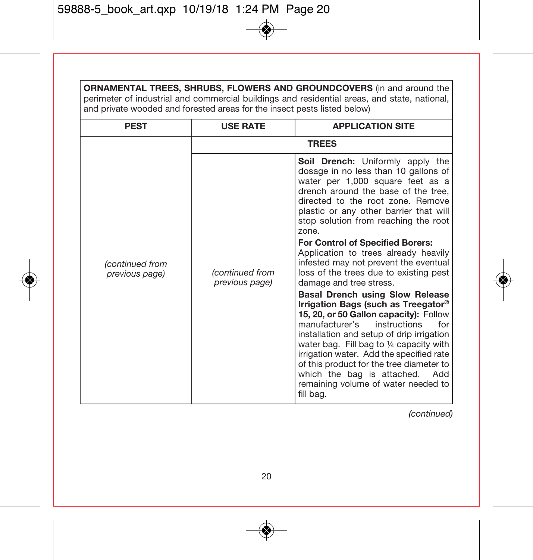| <b>ORNAMENTAL TREES, SHRUBS, FLOWERS AND GROUNDCOVERS</b> (in and around the<br>perimeter of industrial and commercial buildings and residential areas, and state, national,<br>and private wooded and forested areas for the insect pests listed below) |                                   |                                                                                                                                                                                                                                                                                                                                                                                                                                                                                                                                                                                                                                                                                                                                                                                                                                                                                                                             |  |
|----------------------------------------------------------------------------------------------------------------------------------------------------------------------------------------------------------------------------------------------------------|-----------------------------------|-----------------------------------------------------------------------------------------------------------------------------------------------------------------------------------------------------------------------------------------------------------------------------------------------------------------------------------------------------------------------------------------------------------------------------------------------------------------------------------------------------------------------------------------------------------------------------------------------------------------------------------------------------------------------------------------------------------------------------------------------------------------------------------------------------------------------------------------------------------------------------------------------------------------------------|--|
| <b>PEST</b>                                                                                                                                                                                                                                              | <b>USE RATE</b>                   | <b>APPLICATION SITE</b>                                                                                                                                                                                                                                                                                                                                                                                                                                                                                                                                                                                                                                                                                                                                                                                                                                                                                                     |  |
|                                                                                                                                                                                                                                                          |                                   | <b>TREES</b>                                                                                                                                                                                                                                                                                                                                                                                                                                                                                                                                                                                                                                                                                                                                                                                                                                                                                                                |  |
| (continued from<br>previous page)                                                                                                                                                                                                                        | (continued from<br>previous page) | Soil Drench: Uniformly apply the<br>dosage in no less than 10 gallons of<br>water per 1,000 square feet as a<br>drench around the base of the tree.<br>directed to the root zone. Remove<br>plastic or any other barrier that will<br>stop solution from reaching the root<br>zone.<br>For Control of Specified Borers:<br>Application to trees already heavily<br>infested may not prevent the eventual<br>loss of the trees due to existing pest<br>damage and tree stress.<br><b>Basal Drench using Slow Release</b><br>Irrigation Bags (such as Treegator®<br>15, 20, or 50 Gallon capacity): Follow<br>manufacturer's<br>instructions<br>for<br>installation and setup of drip irrigation<br>water bag. Fill bag to 1/4 capacity with<br>irrigation water. Add the specified rate<br>of this product for the tree diameter to<br>which the bag is attached.<br>Add<br>remaining volume of water needed to<br>fill bag. |  |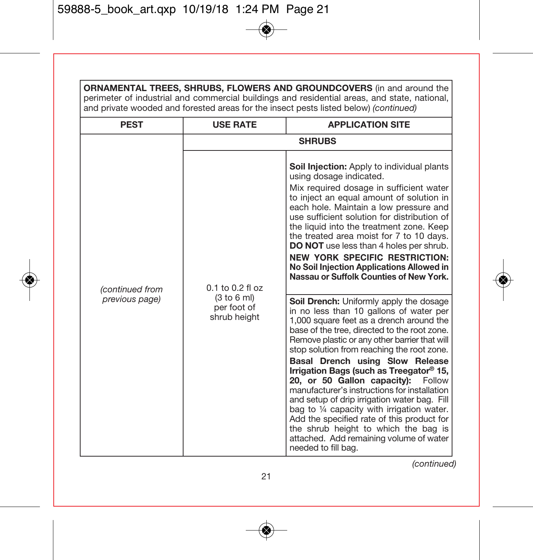| <b>ORNAMENTAL TREES, SHRUBS, FLOWERS AND GROUNDCOVERS</b> (in and around the<br>perimeter of industrial and commercial buildings and residential areas, and state, national,<br>and private wooded and forested areas for the insect pests listed below) (continued) |                                                                    |                                                                                                                                                                                                                                                                                                                                                                                                                                                                                                                                                                                                                                                                                                                                                                                                                                                                                                                                                                                                                                                    |
|----------------------------------------------------------------------------------------------------------------------------------------------------------------------------------------------------------------------------------------------------------------------|--------------------------------------------------------------------|----------------------------------------------------------------------------------------------------------------------------------------------------------------------------------------------------------------------------------------------------------------------------------------------------------------------------------------------------------------------------------------------------------------------------------------------------------------------------------------------------------------------------------------------------------------------------------------------------------------------------------------------------------------------------------------------------------------------------------------------------------------------------------------------------------------------------------------------------------------------------------------------------------------------------------------------------------------------------------------------------------------------------------------------------|
| <b>PEST</b>                                                                                                                                                                                                                                                          | <b>USE RATE</b>                                                    | <b>APPLICATION SITE</b>                                                                                                                                                                                                                                                                                                                                                                                                                                                                                                                                                                                                                                                                                                                                                                                                                                                                                                                                                                                                                            |
| (continued from<br>previous page)                                                                                                                                                                                                                                    | $0.1$ to $0.2$ fl oz<br>(3 to 6 ml)<br>per foot of<br>shrub height | <b>SHRUBS</b><br>Soil Injection: Apply to individual plants<br>using dosage indicated.<br>Mix required dosage in sufficient water<br>to inject an equal amount of solution in<br>each hole. Maintain a low pressure and<br>use sufficient solution for distribution of<br>the liquid into the treatment zone. Keep<br>the treated area moist for 7 to 10 days.<br>DO NOT use less than 4 holes per shrub.<br><b>NEW YORK SPECIFIC RESTRICTION:</b><br>No Soil Injection Applications Allowed in<br>Nassau or Suffolk Counties of New York.<br>Soil Drench: Uniformly apply the dosage<br>in no less than 10 gallons of water per<br>1,000 square feet as a drench around the<br>base of the tree, directed to the root zone.<br>Remove plastic or any other barrier that will<br>stop solution from reaching the root zone.<br>Basal Drench using Slow Release<br>Irrigation Bags (such as Treegator® 15,<br>20, or 50 Gallon capacity):<br>Follow<br>manufacturer's instructions for installation<br>and setup of drip irrigation water bag. Fill |
|                                                                                                                                                                                                                                                                      |                                                                    | bag to 1/4 capacity with irrigation water.<br>Add the specified rate of this product for<br>the shrub height to which the bag is<br>attached. Add remaining volume of water<br>needed to fill bag.                                                                                                                                                                                                                                                                                                                                                                                                                                                                                                                                                                                                                                                                                                                                                                                                                                                 |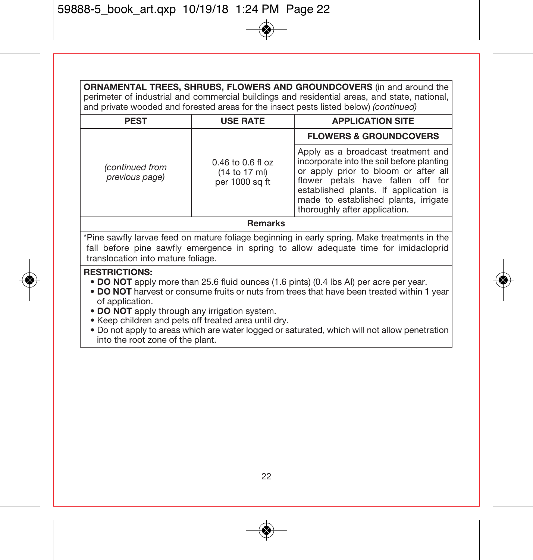**ORNAMENTAL TREES, SHRUBS, FLOWERS AND GROUNDCOVERS** (in and around the perimeter of industrial and commercial buildings and residential areas, and state, national, and private wooded and forested areas for the insect pests listed below) (continued)

| <b>PEST</b>                       | <b>USE RATE</b>                                          | <b>APPLICATION SITE</b>                                                                                                                                                                                                                                                        |
|-----------------------------------|----------------------------------------------------------|--------------------------------------------------------------------------------------------------------------------------------------------------------------------------------------------------------------------------------------------------------------------------------|
|                                   |                                                          | <b>FLOWERS &amp; GROUNDCOVERS</b>                                                                                                                                                                                                                                              |
| (continued from<br>previous page) | $0.46$ to $0.6$ fl oz<br>(14 to 17 ml)<br>per 1000 sa ft | Apply as a broadcast treatment and<br>incorporate into the soil before planting<br>or apply prior to bloom or after all<br>flower petals have fallen off for<br>established plants. If application is<br>made to established plants, irrigate<br>thoroughly after application. |
| Romarke                           |                                                          |                                                                                                                                                                                                                                                                                |

#### **Remarks**

\*Pine sawfly larvae feed on mature foliage beginning in early spring. Make treatments in the fall before pine sawfly emergence in spring to allow adequate time for imidacloprid translocation into mature foliage.

#### **RESTRICTIONS:**

- **DO NOT** apply more than 25.6 fluid ounces (1.6 pints) (0.4 lbs AI) per acre per year.
- **DO NOT** harvest or consume fruits or nuts from trees that have been treated within 1 year of application.
- **DO NOT** apply through any irrigation system.
- Keep children and pets off treated area until dry.
- Do not apply to areas which are water logged or saturated, which will not allow penetration into the root zone of the plant.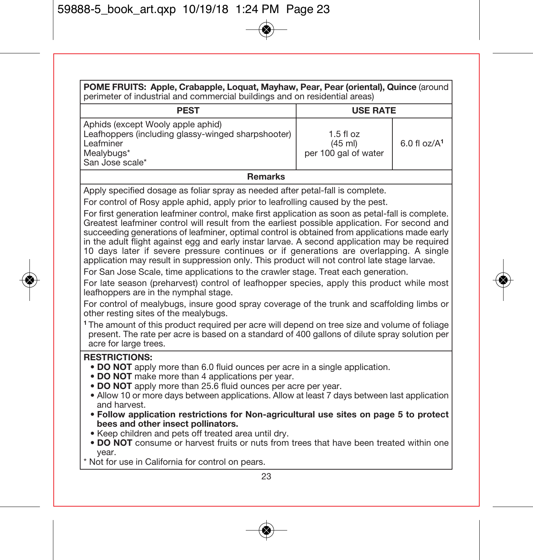| POME FRUITS: Apple, Crabapple, Loquat, Mayhaw, Pear, Pear (oriental), Quince (around<br>perimeter of industrial and commercial buildings and on residential areas)                                                                                                                                                                                                                                                                                                                                                                                                                                                                                                                                                                                                                                                                                                                                                                                                                                                                                                                                                                                                                                                                                                                                                                                                           |                                                          |                  |
|------------------------------------------------------------------------------------------------------------------------------------------------------------------------------------------------------------------------------------------------------------------------------------------------------------------------------------------------------------------------------------------------------------------------------------------------------------------------------------------------------------------------------------------------------------------------------------------------------------------------------------------------------------------------------------------------------------------------------------------------------------------------------------------------------------------------------------------------------------------------------------------------------------------------------------------------------------------------------------------------------------------------------------------------------------------------------------------------------------------------------------------------------------------------------------------------------------------------------------------------------------------------------------------------------------------------------------------------------------------------------|----------------------------------------------------------|------------------|
| <b>PEST</b><br><b>USE RATE</b>                                                                                                                                                                                                                                                                                                                                                                                                                                                                                                                                                                                                                                                                                                                                                                                                                                                                                                                                                                                                                                                                                                                                                                                                                                                                                                                                               |                                                          |                  |
| Aphids (except Wooly apple aphid)<br>Leafhoppers (including glassy-winged sharpshooter)<br>Leafminer<br>Mealybugs*<br>San Jose scale*                                                                                                                                                                                                                                                                                                                                                                                                                                                                                                                                                                                                                                                                                                                                                                                                                                                                                                                                                                                                                                                                                                                                                                                                                                        | 1.5 fl $07$<br>$(45 \text{ ml})$<br>per 100 gal of water | $6.0$ fl $0z/A1$ |
| <b>Remarks</b>                                                                                                                                                                                                                                                                                                                                                                                                                                                                                                                                                                                                                                                                                                                                                                                                                                                                                                                                                                                                                                                                                                                                                                                                                                                                                                                                                               |                                                          |                  |
| Apply specified dosage as foliar spray as needed after petal-fall is complete.<br>For control of Rosy apple aphid, apply prior to leafrolling caused by the pest.<br>For first generation leafminer control, make first application as soon as petal-fall is complete.<br>Greatest leafminer control will result from the earliest possible application. For second and<br>succeeding generations of leafminer, optimal control is obtained from applications made early<br>in the adult flight against egg and early instar larvae. A second application may be required<br>10 days later if severe pressure continues or if generations are overlapping. A single<br>application may result in suppression only. This product will not control late stage larvae.<br>For San Jose Scale, time applications to the crawler stage. Treat each generation.<br>For late season (preharvest) control of leafhopper species, apply this product while most<br>leafhoppers are in the nymphal stage.<br>For control of mealybugs, insure good spray coverage of the trunk and scaffolding limbs or<br>other resting sites of the mealybugs.<br><sup>1</sup> The amount of this product required per acre will depend on tree size and volume of foliage<br>present. The rate per acre is based on a standard of 400 gallons of dilute spray solution per<br>acre for large trees. |                                                          |                  |
| <b>RESTRICTIONS:</b><br>• DO NOT apply more than 6.0 fluid ounces per acre in a single application.<br>. DO NOT make more than 4 applications per year.<br>. DO NOT apply more than 25.6 fluid ounces per acre per year.<br>• Allow 10 or more days between applications. Allow at least 7 days between last application<br>and harvest.<br>. Follow application restrictions for Non-agricultural use sites on page 5 to protect<br>bees and other insect pollinators.<br>. Keep children and pets off treated area until dry.<br>. DO NOT consume or harvest fruits or nuts from trees that have been treated within one<br>year.<br>* Not for use in California for control on pears.                                                                                                                                                                                                                                                                                                                                                                                                                                                                                                                                                                                                                                                                                     |                                                          |                  |
| 23                                                                                                                                                                                                                                                                                                                                                                                                                                                                                                                                                                                                                                                                                                                                                                                                                                                                                                                                                                                                                                                                                                                                                                                                                                                                                                                                                                           |                                                          |                  |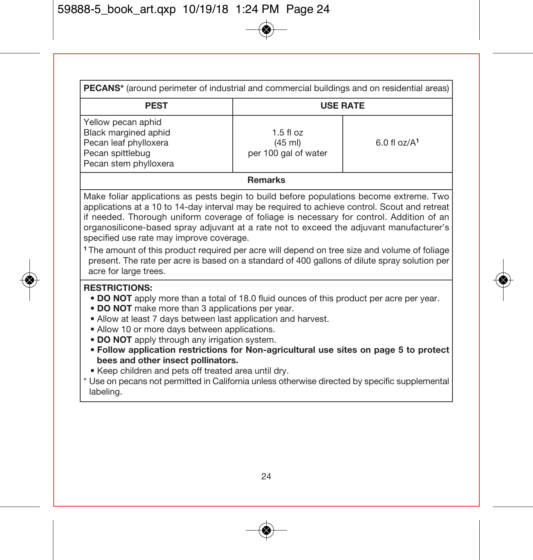| <b>PECANS*</b> (around perimeter of industrial and commercial buildings and on residential areas)                |                                                                           |  |  |
|------------------------------------------------------------------------------------------------------------------|---------------------------------------------------------------------------|--|--|
| <b>PEST</b><br><b>USE RATE</b>                                                                                   |                                                                           |  |  |
| Yellow pecan aphid<br>Black margined aphid<br>Pecan leaf phylloxera<br>Pecan spittlebug<br>Pecan stem phylloxera | $1.5f$ loz<br>6.0 f1 oz/A <sup>1</sup><br>(45 ml)<br>per 100 gal of water |  |  |

#### **Remarks**

Make foliar applications as pests begin to build before populations become extreme. Two applications at a 10 to 14-day interval may be required to achieve control. Scout and retreat if needed. Thorough uniform coverage of foliage is necessary for control. Addition of an organosilicone-based spray adjuvant at a rate not to exceed the adjuvant manufacturer's specified use rate may improve coverage.

**<sup>1</sup>** The amount of this product required per acre will depend on tree size and volume of foliage present. The rate per acre is based on a standard of 400 gallons of dilute spray solution per acre for large trees.

#### **RESTRICTIONS:**

- **DO NOT** apply more than a total of 18.0 fluid ounces of this product per acre per year.
- **DO NOT** make more than 3 applications per year.
- Allow at least 7 days between last application and harvest.
- Allow 10 or more days between applications.
- **DO NOT** apply through any irrigation system.
- **Follow application restrictions for Non-agricultural use sites on page 5 to protect bees and other insect pollinators.**
- Keep children and pets off treated area until dry.
- Use on pecans not permitted in California unless otherwise directed by specific supplemental labeling.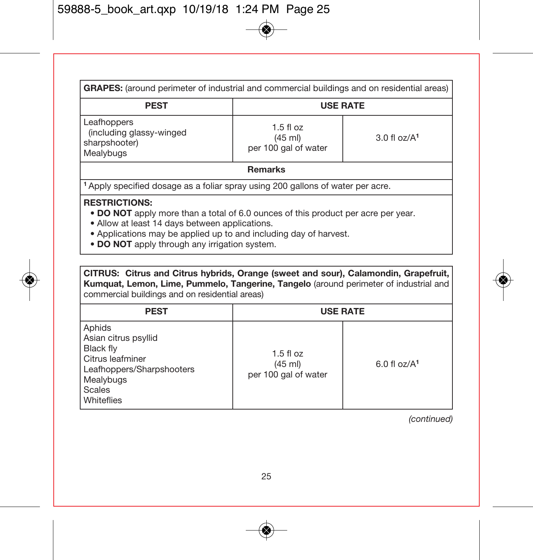| <b>GRAPES:</b> (around perimeter of industrial and commercial buildings and on residential areas)                                                                                                                                                                                                |                                                          |                  |  |
|--------------------------------------------------------------------------------------------------------------------------------------------------------------------------------------------------------------------------------------------------------------------------------------------------|----------------------------------------------------------|------------------|--|
| <b>PEST</b>                                                                                                                                                                                                                                                                                      | <b>USE RATE</b>                                          |                  |  |
| Leafhoppers<br>(including glassy-winged<br>sharpshooter)<br>Mealybugs                                                                                                                                                                                                                            | $1.5$ fl oz<br>$(45 \text{ ml})$<br>per 100 gal of water | $3.0$ fl $oz/A1$ |  |
| <b>Remarks</b>                                                                                                                                                                                                                                                                                   |                                                          |                  |  |
| <sup>1</sup> Apply specified dosage as a foliar spray using 200 gallons of water per acre.                                                                                                                                                                                                       |                                                          |                  |  |
| <b>RESTRICTIONS:</b><br>• DO NOT apply more than a total of 6.0 ounces of this product per acre per year.<br>• Allow at least 14 days between applications.<br>• Applications may be applied up to and including day of harvest.<br><b>CRANAT</b> control on contract the control of the control |                                                          |                  |  |

**• DO NOT** apply through any irrigation system.

**CITRUS: Citrus and Citrus hybrids, Orange (sweet and sour), Calamondin, Grapefruit, Kumquat, Lemon, Lime, Pummelo, Tangerine, Tangelo** (around perimeter of industrial and commercial buildings and on residential areas)

| <b>PEST</b>                                                                                                                       |                                                | <b>USE RATE</b>          |
|-----------------------------------------------------------------------------------------------------------------------------------|------------------------------------------------|--------------------------|
| Aphids<br>Asian citrus psyllid<br>Black fly<br>Citrus leafminer<br>Leafhoppers/Sharpshooters<br>Mealybugs<br>Scales<br>Whiteflies | $1.5$ fl oz<br>(45 ml)<br>per 100 gal of water | 6.0 f1 oz/A <sup>1</sup> |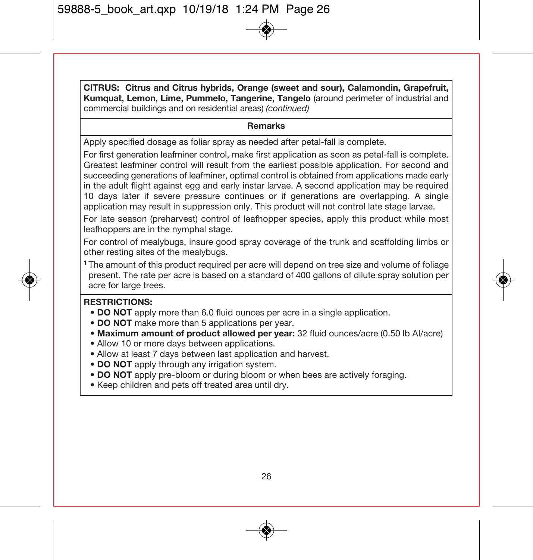**CITRUS: Citrus and Citrus hybrids, Orange (sweet and sour), Calamondin, Grapefruit, Kumquat, Lemon, Lime, Pummelo, Tangerine, Tangelo** (around perimeter of industrial and commercial buildings and on residential areas) (continued)

#### **Remarks**

Apply specified dosage as foliar spray as needed after petal-fall is complete.

For first generation leafminer control, make first application as soon as petal-fall is complete. Greatest leafminer control will result from the earliest possible application. For second and succeeding generations of leafminer, optimal control is obtained from applications made early in the adult flight against egg and early instar larvae. A second application may be required 10 days later if severe pressure continues or if generations are overlapping. A single application may result in suppression only. This product will not control late stage larvae.

For late season (preharvest) control of leafhopper species, apply this product while most leafhoppers are in the nymphal stage.

For control of mealybugs, insure good spray coverage of the trunk and scaffolding limbs or other resting sites of the mealybugs.

**<sup>1</sup>** The amount of this product required per acre will depend on tree size and volume of foliage present. The rate per acre is based on a standard of 400 gallons of dilute spray solution per acre for large trees.

#### **RESTRICTIONS:**

- **DO NOT** apply more than 6.0 fluid ounces per acre in a single application.
- **DO NOT** make more than 5 applications per year.
- **Maximum amount of product allowed per year:** 32 fluid ounces/acre (0.50 lb AI/acre)
- Allow 10 or more days between applications.
- Allow at least 7 days between last application and harvest.
- **DO NOT** apply through any irrigation system.
- **DO NOT** apply pre-bloom or during bloom or when bees are actively foraging.
- Keep children and pets off treated area until dry.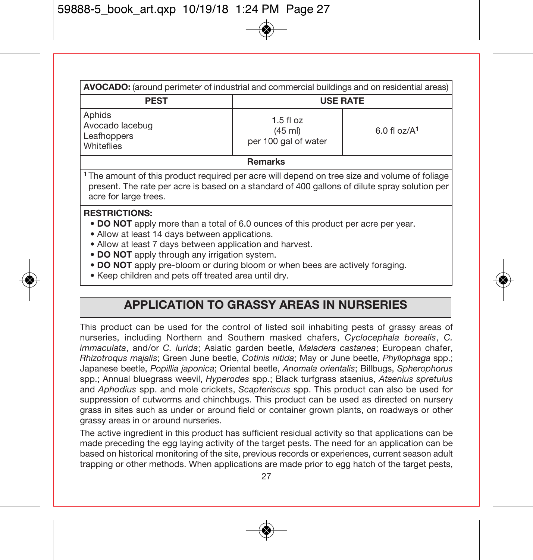| AVOCADO: (around perimeter of industrial and commercial buildings and on residential areas)                                                                                                                                                                                                                                                                                                                      |                                                |                  |  |
|------------------------------------------------------------------------------------------------------------------------------------------------------------------------------------------------------------------------------------------------------------------------------------------------------------------------------------------------------------------------------------------------------------------|------------------------------------------------|------------------|--|
| <b>PEST</b>                                                                                                                                                                                                                                                                                                                                                                                                      | <b>USE RATE</b>                                |                  |  |
| Aphids<br>Avocado lacebug<br>Leafhoppers<br>Whiteflies                                                                                                                                                                                                                                                                                                                                                           | $1.5$ fl oz<br>(45 ml)<br>per 100 gal of water | $6.0$ fl $oz/A1$ |  |
| <b>Remarks</b>                                                                                                                                                                                                                                                                                                                                                                                                   |                                                |                  |  |
| <sup>1</sup> The amount of this product required per acre will depend on tree size and volume of foliage<br>present. The rate per acre is based on a standard of 400 gallons of dilute spray solution per<br>acre for large trees.                                                                                                                                                                               |                                                |                  |  |
| <b>RESTRICTIONS:</b><br>. DO NOT apply more than a total of 6.0 ounces of this product per acre per year.<br>• Allow at least 14 days between applications.<br>• Allow at least 7 days between application and harvest.<br>• DO NOT apply through any irrigation system.<br>• DO NOT apply pre-bloom or during bloom or when bees are actively foraging.<br>. Keep children and pets off treated area until dry. |                                                |                  |  |

# **APPLICATION TO GRASSY AREAS IN NURSERIES**

This product can be used for the control of listed soil inhabiting pests of grassy areas of nurseries, including Northern and Southern masked chafers, Cyclocephala borealis, C. immaculata, and/or C. lurida; Asiatic garden beetle, Maladera castanea; European chafer, Rhizotroqus majalis; Green June beetle, Cotinis nitida; May or June beetle, Phyllophaga spp.; Japanese beetle, Popillia japonica; Oriental beetle, Anomala orientalis; Billbugs, Spherophorus spp.; Annual bluegrass weevil, Hyperodes spp.; Black turfgrass ataenius, Ataenius spretulus and Aphodius spp. and mole crickets, Scapteriscus spp. This product can also be used for suppression of cutworms and chinchbugs. This product can be used as directed on nursery grass in sites such as under or around field or container grown plants, on roadways or other grassy areas in or around nurseries.

The active ingredient in this product has sufficient residual activity so that applications can be made preceding the egg laying activity of the target pests. The need for an application can be based on historical monitoring of the site, previous records or experiences, current season adult trapping or other methods. When applications are made prior to egg hatch of the target pests,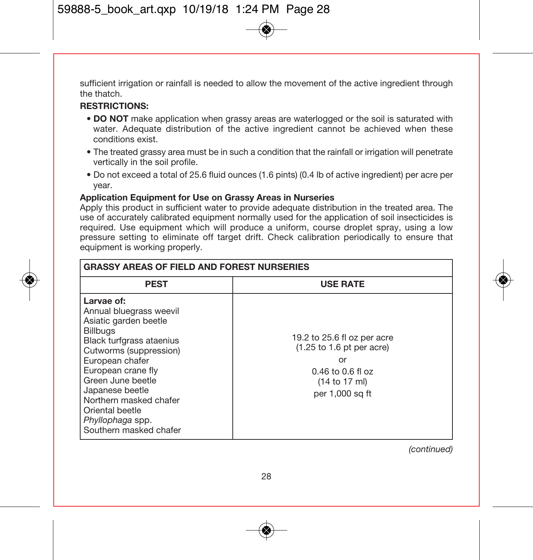sufficient irrigation or rainfall is needed to allow the movement of the active ingredient through the thatch.

#### **RESTRICTIONS:**

- **DO NOT** make application when grassy areas are waterlogged or the soil is saturated with water. Adequate distribution of the active ingredient cannot be achieved when these conditions exist.
- The treated grassy area must be in such a condition that the rainfall or irrigation will penetrate vertically in the soil profile.
- Do not exceed a total of 25.6 fluid ounces (1.6 pints) (0.4 lb of active ingredient) per acre per year.

#### **Application Equipment for Use on Grassy Areas in Nurseries**

Apply this product in sufficient water to provide adequate distribution in the treated area. The use of accurately calibrated equipment normally used for the application of soil insecticides is required. Use equipment which will produce a uniform, course droplet spray, using a low pressure setting to eliminate off target drift. Check calibration periodically to ensure that equipment is working properly.

| <b>GRASSY AREAS OF FIELD AND FOREST NURSERIES</b>                                                                                                                                                                                                                                                                   |                                                                                                                                                 |  |
|---------------------------------------------------------------------------------------------------------------------------------------------------------------------------------------------------------------------------------------------------------------------------------------------------------------------|-------------------------------------------------------------------------------------------------------------------------------------------------|--|
| <b>PEST</b>                                                                                                                                                                                                                                                                                                         | <b>USE RATE</b>                                                                                                                                 |  |
| Larvae of:<br>Annual bluegrass weevil<br>Asiatic garden beetle<br><b>Billbugs</b><br>Black turfgrass ataenius<br>Cutworms (suppression)<br>European chafer<br>European crane fly<br>Green June beetle<br>Japanese beetle<br>Northern masked chafer<br>Oriental beetle<br>Phyllophaga spp.<br>Southern masked chafer | 19.2 to 25.6 fl oz per acre<br>$(1.25 \text{ to } 1.6 \text{ pt})$ per acre)<br>or<br>$0.46$ to $0.6$ fl oz<br>(14 to 17 ml)<br>per 1,000 sq ft |  |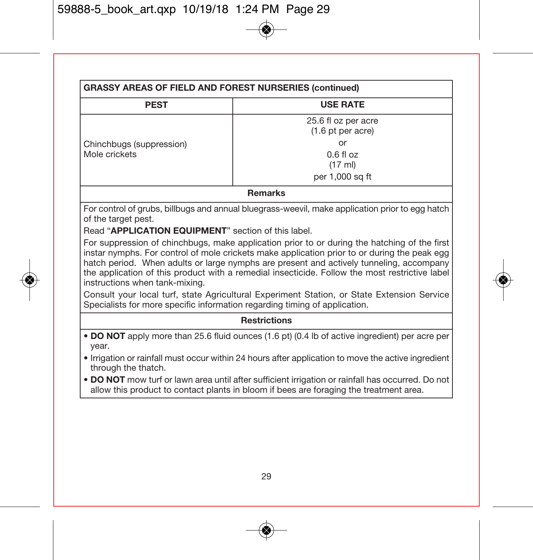| <b>PEST</b>                                                                                                                                                                                                                                                                                                                                                                                                                 | <b>USE RATE</b>                                                                                                                                                                             |  |  |
|-----------------------------------------------------------------------------------------------------------------------------------------------------------------------------------------------------------------------------------------------------------------------------------------------------------------------------------------------------------------------------------------------------------------------------|---------------------------------------------------------------------------------------------------------------------------------------------------------------------------------------------|--|--|
|                                                                                                                                                                                                                                                                                                                                                                                                                             | 25.6 fl oz per acre<br>(1.6 pt per acre)                                                                                                                                                    |  |  |
| Chinchbugs (suppression)                                                                                                                                                                                                                                                                                                                                                                                                    | or                                                                                                                                                                                          |  |  |
| Mole crickets                                                                                                                                                                                                                                                                                                                                                                                                               | $0.6f$ l oz<br>(17 ml)                                                                                                                                                                      |  |  |
|                                                                                                                                                                                                                                                                                                                                                                                                                             | per 1.000 sq ft                                                                                                                                                                             |  |  |
|                                                                                                                                                                                                                                                                                                                                                                                                                             | <b>Remarks</b>                                                                                                                                                                              |  |  |
| For control of grubs, billbugs and annual bluegrass-weevil, make application prior to egg hatch<br>of the target pest.                                                                                                                                                                                                                                                                                                      |                                                                                                                                                                                             |  |  |
| Read "APPLICATION EQUIPMENT" section of this label.                                                                                                                                                                                                                                                                                                                                                                         |                                                                                                                                                                                             |  |  |
| For suppression of chinchbugs, make application prior to or during the hatching of the first<br>instar nymphs. For control of mole crickets make application prior to or during the peak egg<br>hatch period. When adults or large nymphs are present and actively tunneling, accompany<br>the application of this product with a remedial insecticide. Follow the most restrictive label<br>instructions when tank-mixing. |                                                                                                                                                                                             |  |  |
| Consult your local turf, state Agricultural Experiment Station, or State Extension Service<br>Specialists for more specific information regarding timing of application.                                                                                                                                                                                                                                                    |                                                                                                                                                                                             |  |  |
|                                                                                                                                                                                                                                                                                                                                                                                                                             | <b>Restrictions</b>                                                                                                                                                                         |  |  |
| • DO NOT apply more than 25.6 fluid ounces (1.6 pt) (0.4 lb of active ingredient) per acre per<br>vear.                                                                                                                                                                                                                                                                                                                     |                                                                                                                                                                                             |  |  |
| • Irrigation or rainfall must occur within 24 hours after application to move the active ingredient<br>through the thatch.                                                                                                                                                                                                                                                                                                  |                                                                                                                                                                                             |  |  |
|                                                                                                                                                                                                                                                                                                                                                                                                                             | . DO NOT mow turf or lawn area until after sufficient irrigation or rainfall has occurred. Do not<br>allow this product to contact plants in bloom if bees are foraging the treatment area. |  |  |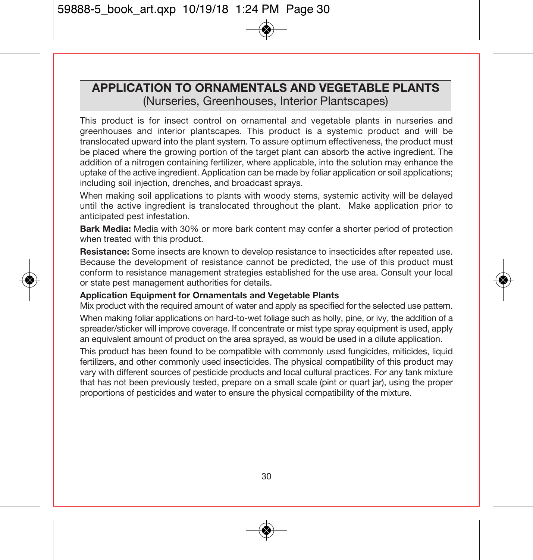### **APPLICATION TO ORNAMENTALS AND VEGETABLE PLANTS**  (Nurseries, Greenhouses, Interior Plantscapes)

This product is for insect control on ornamental and vegetable plants in nurseries and greenhouses and interior plantscapes. This product is a systemic product and will be translocated upward into the plant system. To assure optimum effectiveness, the product must be placed where the growing portion of the target plant can absorb the active ingredient. The addition of a nitrogen containing fertilizer, where applicable, into the solution may enhance the uptake of the active ingredient. Application can be made by foliar application or soil applications; including soil injection, drenches, and broadcast sprays.

When making soil applications to plants with woody stems, systemic activity will be delayed until the active ingredient is translocated throughout the plant. Make application prior to anticipated pest infestation.

**Bark Media:** Media with 30% or more bark content may confer a shorter period of protection when treated with this product.

**Resistance:** Some insects are known to develop resistance to insecticides after repeated use. Because the development of resistance cannot be predicted, the use of this product must conform to resistance management strategies established for the use area. Consult your local or state pest management authorities for details.

#### **Application Equipment for Ornamentals and Vegetable Plants**

Mix product with the required amount of water and apply as specified for the selected use pattern. When making foliar applications on hard-to-wet foliage such as holly, pine, or ivy, the addition of a spreader/sticker will improve coverage. If concentrate or mist type spray equipment is used, apply an equivalent amount of product on the area sprayed, as would be used in a dilute application.

This product has been found to be compatible with commonly used fungicides, miticides, liquid fertilizers, and other commonly used insecticides. The physical compatibility of this product may vary with different sources of pesticide products and local cultural practices. For any tank mixture that has not been previously tested, prepare on a small scale (pint or quart jar), using the proper proportions of pesticides and water to ensure the physical compatibility of the mixture.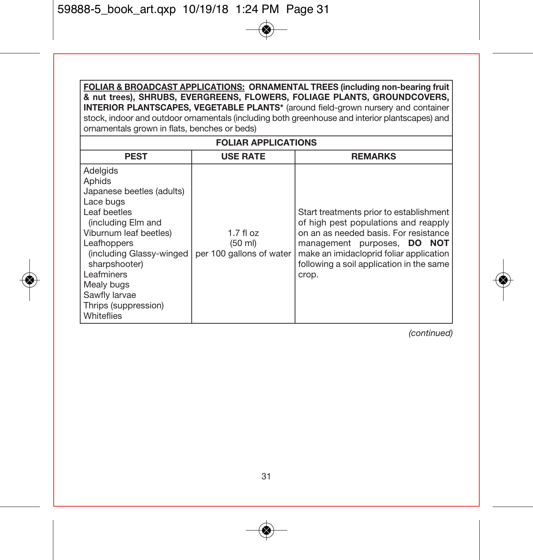**FOLIAR & BROADCAST APPLICATIONS: ORNAMENTAL TREES (including non-bearing fruit & nut trees), SHRUBS, EVERGREENS, FLOWERS, FOLIAGE PLANTS, GROUNDCOVERS, INTERIOR PLANTSCAPES, VEGETABLE PLANTS\*** (around field-grown nursery and container stock, indoor and outdoor ornamentals (including both greenhouse and interior plantscapes) and ornamentals grown in flats, benches or beds)

| <b>FOLIAR APPLICATIONS</b>                                                                                                                                                                                                                                                  |                                                   |                                                                                                                                                                                                                                                         |  |
|-----------------------------------------------------------------------------------------------------------------------------------------------------------------------------------------------------------------------------------------------------------------------------|---------------------------------------------------|---------------------------------------------------------------------------------------------------------------------------------------------------------------------------------------------------------------------------------------------------------|--|
| <b>PEST</b>                                                                                                                                                                                                                                                                 | <b>USE RATE</b>                                   | <b>REMARKS</b>                                                                                                                                                                                                                                          |  |
| Adelaids<br>Aphids<br>Japanese beetles (adults)<br>Lace bugs<br>Leaf beetles<br>(including Elm and<br>Viburnum leaf beetles)<br>Leafhoppers<br>(including Glassy-winged<br>sharpshooter)<br>Leafminers<br>Mealy bugs<br>Sawfly larvae<br>Thrips (suppression)<br>Whiteflies | $1.7f$ loz<br>(50 ml)<br>per 100 gallons of water | Start treatments prior to establishment<br>of high pest populations and reapply<br>on an as needed basis. For resistance<br>management purposes, DO NOT<br>make an imidacloprid foliar application<br>following a soil application in the same<br>crop. |  |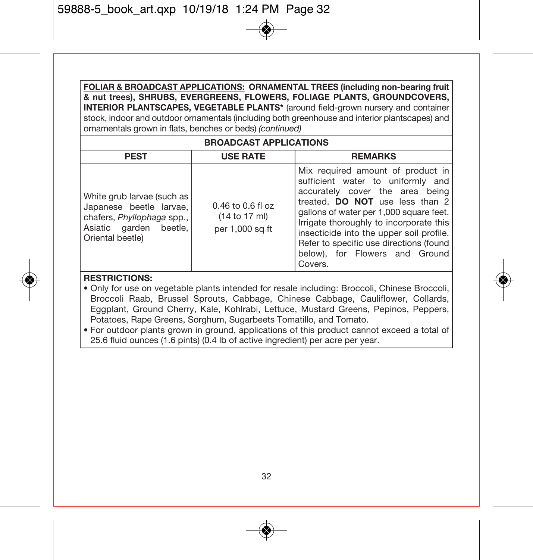**FOLIAR & BROADCAST APPLICATIONS: ORNAMENTAL TREES (including non-bearing fruit & nut trees), SHRUBS, EVERGREENS, FLOWERS, FOLIAGE PLANTS, GROUNDCOVERS, INTERIOR PLANTSCAPES, VEGETABLE PLANTS\*** (around field-grown nursery and container stock, indoor and outdoor ornamentals (including both greenhouse and interior plantscapes) and ornamentals grown in flats, benches or beds) (continued)

| <b>BROADCAST APPLICATIONS</b>                                                                                                     |                                                           |                                                                                                                                                                                                                                                                                                                                                                        |  |
|-----------------------------------------------------------------------------------------------------------------------------------|-----------------------------------------------------------|------------------------------------------------------------------------------------------------------------------------------------------------------------------------------------------------------------------------------------------------------------------------------------------------------------------------------------------------------------------------|--|
| <b>PEST</b>                                                                                                                       | <b>USE RATE</b>                                           | <b>REMARKS</b>                                                                                                                                                                                                                                                                                                                                                         |  |
| White grub larvae (such as<br>Japanese beetle larvae.<br>chafers, Phyllophaga spp.,<br>Asiatic garden beetle.<br>Oriental beetle) | $0.46$ to $0.6$ fl oz<br>(14 to 17 ml)<br>per 1,000 sq ft | Mix required amount of product in<br>sufficient water to uniformly and<br>accurately cover the area being<br>treated. DO NOT use less than 2<br>gallons of water per 1,000 square feet.<br>Irrigate thoroughly to incorporate this<br>insecticide into the upper soil profile.<br>Refer to specific use directions (found<br>below), for Flowers and Ground<br>Covers. |  |

#### **RESTRICTIONS:**

- Only for use on vegetable plants intended for resale including: Broccoli, Chinese Broccoli, Broccoli Raab, Brussel Sprouts, Cabbage, Chinese Cabbage, Cauliflower, Collards, Eggplant, Ground Cherry, Kale, Kohlrabi, Lettuce, Mustard Greens, Pepinos, Peppers, Potatoes, Rape Greens, Sorghum, Sugarbeets Tomatillo, and Tomato.
- For outdoor plants grown in ground, applications of this product cannot exceed a total of 25.6 fluid ounces (1.6 pints) (0.4 lb of active ingredient) per acre per year.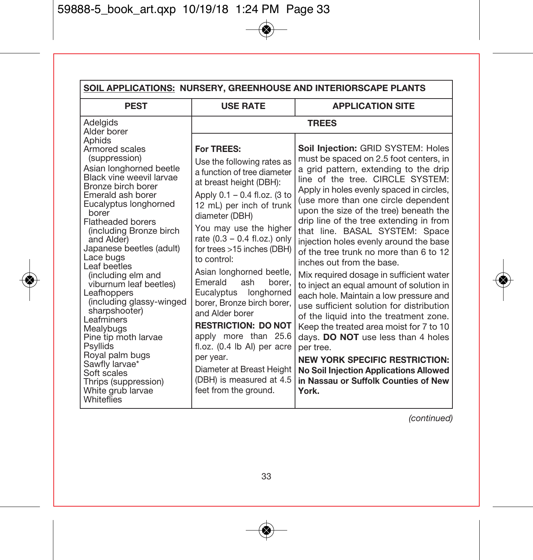| SOIL APPLICATIONS: NURSERY, GREENHOUSE AND INTERIORSCAPE PLANTS                                                                                                                                                                                                                                                                                                                                                                                                               |                                                                                                                                                                                                                                                                                                                                                                                                                                                              |                                                                                                                                                                                                                                                                                                                                                                                                                                                                                                                                                                                                                                                                                                                                                                        |  |
|-------------------------------------------------------------------------------------------------------------------------------------------------------------------------------------------------------------------------------------------------------------------------------------------------------------------------------------------------------------------------------------------------------------------------------------------------------------------------------|--------------------------------------------------------------------------------------------------------------------------------------------------------------------------------------------------------------------------------------------------------------------------------------------------------------------------------------------------------------------------------------------------------------------------------------------------------------|------------------------------------------------------------------------------------------------------------------------------------------------------------------------------------------------------------------------------------------------------------------------------------------------------------------------------------------------------------------------------------------------------------------------------------------------------------------------------------------------------------------------------------------------------------------------------------------------------------------------------------------------------------------------------------------------------------------------------------------------------------------------|--|
| <b>PEST</b>                                                                                                                                                                                                                                                                                                                                                                                                                                                                   | <b>USE RATE</b>                                                                                                                                                                                                                                                                                                                                                                                                                                              | <b>APPLICATION SITE</b>                                                                                                                                                                                                                                                                                                                                                                                                                                                                                                                                                                                                                                                                                                                                                |  |
| Adelgids<br>Alder borer<br>Aphids<br>Armored scales<br>(suppression)<br>Asian longhorned beetle<br>Black vine weevil larvae<br>Bronze birch borer<br>Emerald ash borer<br>Eucalyptus longhorned<br>borer<br><b>Flatheaded borers</b><br>(including Bronze birch<br>and Alder)<br>Japanese beetles (adult)<br>Lace bugs<br>Leaf beetles<br>(including elm and<br>viburnum leaf beetles)<br>Leafhoppers<br>(including glassy-winged<br>sharpshooter)<br>Leafminers<br>Mealybugs | For TREES:<br>Use the following rates as<br>a function of tree diameter<br>at breast height (DBH):<br>Apply 0.1 - 0.4 fl.oz. (3 to<br>12 mL) per inch of trunk<br>diameter (DBH)<br>You may use the higher<br>rate $(0.3 - 0.4$ fl.oz.) only<br>for trees >15 inches (DBH)<br>to control:<br>Asian longhorned beetle,<br>Emerald<br>borer,<br>ash<br>Eucalyptus<br>longhorned<br>borer. Bronze birch borer.<br>and Alder borer<br><b>RESTRICTION: DO NOT</b> | <b>TREES</b><br>Soil Injection: GRID SYSTEM: Holes<br>must be spaced on 2.5 foot centers, in<br>a grid pattern, extending to the drip<br>line of the tree. CIRCLE SYSTEM:<br>Apply in holes evenly spaced in circles,<br>(use more than one circle dependent<br>upon the size of the tree) beneath the<br>drip line of the tree extending in from<br>that line. BASAL SYSTEM: Space<br>injection holes evenly around the base<br>of the tree trunk no more than 6 to 12<br>inches out from the base.<br>Mix required dosage in sufficient water<br>to inject an equal amount of solution in<br>each hole. Maintain a low pressure and<br>use sufficient solution for distribution<br>of the liquid into the treatment zone.<br>Keep the treated area moist for 7 to 10 |  |
| Pine tip moth larvae<br><b>Psyllids</b><br>Royal palm bugs                                                                                                                                                                                                                                                                                                                                                                                                                    | apply more than 25.6<br>fl.oz. (0.4 lb Al) per acre<br>per year.                                                                                                                                                                                                                                                                                                                                                                                             | days. DO NOT use less than 4 holes<br>per tree.                                                                                                                                                                                                                                                                                                                                                                                                                                                                                                                                                                                                                                                                                                                        |  |
| Sawfly larvae*<br>Soft scales<br>Thrips (suppression)<br>White grub larvae<br>Whiteflies                                                                                                                                                                                                                                                                                                                                                                                      | Diameter at Breast Height<br>(DBH) is measured at 4.5<br>feet from the ground.                                                                                                                                                                                                                                                                                                                                                                               | <b>NEW YORK SPECIFIC RESTRICTION:</b><br><b>No Soil Injection Applications Allowed</b><br>in Nassau or Suffolk Counties of New<br>York.                                                                                                                                                                                                                                                                                                                                                                                                                                                                                                                                                                                                                                |  |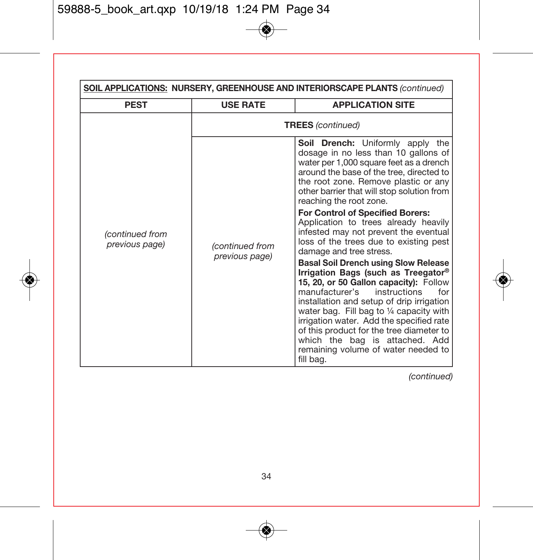| SOIL APPLICATIONS: NURSERY, GREENHOUSE AND INTERIORSCAPE PLANTS (continued) |                                            |                                                                                                                                                                                                                                                                                                                                                                                                                                       |  |
|-----------------------------------------------------------------------------|--------------------------------------------|---------------------------------------------------------------------------------------------------------------------------------------------------------------------------------------------------------------------------------------------------------------------------------------------------------------------------------------------------------------------------------------------------------------------------------------|--|
| <b>PEST</b>                                                                 | <b>USE RATE</b><br><b>APPLICATION SITE</b> |                                                                                                                                                                                                                                                                                                                                                                                                                                       |  |
|                                                                             | <b>TREES</b> (continued)                   |                                                                                                                                                                                                                                                                                                                                                                                                                                       |  |
|                                                                             |                                            | Soil Drench: Uniformly apply the<br>dosage in no less than 10 gallons of<br>water per 1,000 square feet as a drench<br>around the base of the tree, directed to<br>the root zone. Remove plastic or any<br>other barrier that will stop solution from<br>reaching the root zone.                                                                                                                                                      |  |
| (continued from<br>previous page)                                           | (continued from                            | For Control of Specified Borers:<br>Application to trees already heavily<br>infested may not prevent the eventual<br>loss of the trees due to existing pest<br>damage and tree stress.                                                                                                                                                                                                                                                |  |
|                                                                             | previous page)                             | Basal Soil Drench using Slow Release<br>Irrigation Bags (such as Treegator®<br>15, 20, or 50 Gallon capacity): Follow<br>manufacturer's<br>instructions<br>for<br>installation and setup of drip irrigation<br>water bag. Fill bag to 1/4 capacity with<br>irrigation water. Add the specified rate<br>of this product for the tree diameter to<br>which the bag is attached. Add<br>remaining volume of water needed to<br>fill bag. |  |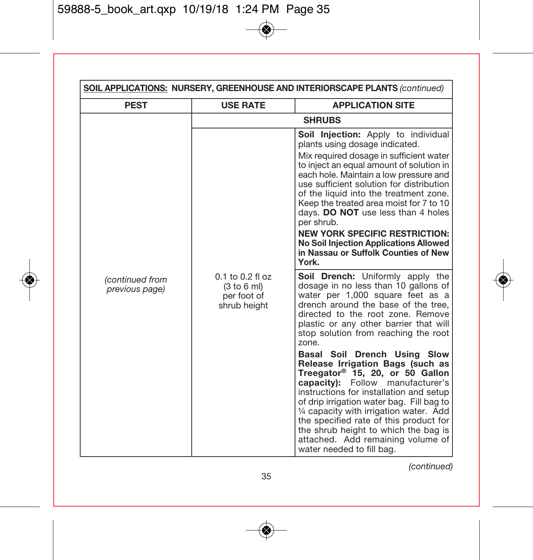| SOIL APPLICATIONS: NURSERY, GREENHOUSE AND INTERIORSCAPE PLANTS (continued) |                                                                    |                                                                                                                                                                                                                                                                                                                                                                                                                                                                                                                                 |  |
|-----------------------------------------------------------------------------|--------------------------------------------------------------------|---------------------------------------------------------------------------------------------------------------------------------------------------------------------------------------------------------------------------------------------------------------------------------------------------------------------------------------------------------------------------------------------------------------------------------------------------------------------------------------------------------------------------------|--|
| <b>PEST</b>                                                                 | <b>USE RATE</b>                                                    | <b>APPLICATION SITE</b>                                                                                                                                                                                                                                                                                                                                                                                                                                                                                                         |  |
|                                                                             |                                                                    | <b>SHRUBS</b>                                                                                                                                                                                                                                                                                                                                                                                                                                                                                                                   |  |
|                                                                             |                                                                    | Soil Injection: Apply to individual<br>plants using dosage indicated.<br>Mix required dosage in sufficient water<br>to inject an equal amount of solution in<br>each hole. Maintain a low pressure and<br>use sufficient solution for distribution<br>of the liquid into the treatment zone.<br>Keep the treated area moist for 7 to 10<br>days. DO NOT use less than 4 holes<br>per shrub.<br><b>NEW YORK SPECIFIC RESTRICTION:</b><br>No Soil Injection Applications Allowed<br>in Nassau or Suffolk Counties of New<br>York. |  |
| (continued from<br>previous page)                                           | $0.1$ to $0.2$ fl oz<br>(3 to 6 ml)<br>per foot of<br>shrub height | Soil Drench: Uniformly apply the<br>dosage in no less than 10 gallons of<br>water per 1,000 square feet as a<br>drench around the base of the tree.<br>directed to the root zone. Remove<br>plastic or any other barrier that will<br>stop solution from reaching the root<br>zone.                                                                                                                                                                                                                                             |  |
|                                                                             |                                                                    | Basal Soil Drench Using Slow<br>Release Irrigation Bags (such as<br>Treegator <sup>®</sup> 15, 20, or 50 Gallon<br>capacity): Follow manufacturer's<br>instructions for installation and setup<br>of drip irrigation water bag. Fill bag to<br>1/4 capacity with irrigation water. Add<br>the specified rate of this product for<br>the shrub height to which the bag is<br>attached. Add remaining volume of<br>water needed to fill bag.                                                                                      |  |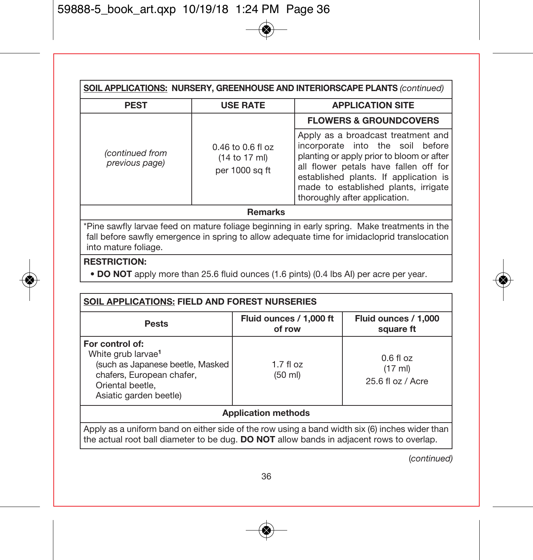| SOIL APPLICATIONS: NURSERY, GREENHOUSE AND INTERIORSCAPE PLANTS (continued)                                                                                                                  |                 |                                                                                                                                                                                                                                                                                |  |
|----------------------------------------------------------------------------------------------------------------------------------------------------------------------------------------------|-----------------|--------------------------------------------------------------------------------------------------------------------------------------------------------------------------------------------------------------------------------------------------------------------------------|--|
| <b>PEST</b>                                                                                                                                                                                  | <b>USE RATE</b> | <b>APPLICATION SITE</b>                                                                                                                                                                                                                                                        |  |
|                                                                                                                                                                                              |                 | <b>FLOWERS &amp; GROUNDCOVERS</b>                                                                                                                                                                                                                                              |  |
| $0.46$ to $0.6$ fl oz<br>(continued from<br>(14 to 17 ml)<br>previous page)<br>per 1000 sq ft                                                                                                |                 | Apply as a broadcast treatment and<br>incorporate into the soil before<br>planting or apply prior to bloom or after<br>all flower petals have fallen off for<br>established plants. If application is<br>made to established plants, irrigate<br>thoroughly after application. |  |
| <b>Remarks</b>                                                                                                                                                                               |                 |                                                                                                                                                                                                                                                                                |  |
| *Pine sawfly larvae feed on mature foliage beginning in early spring. Make treatments in the<br>fall before sawfly emergence in spring to allow adequate time for imidacloprid translocation |                 |                                                                                                                                                                                                                                                                                |  |

into mature foliage.

#### **RESTRICTION:**

**• DO NOT** apply more than 25.6 fluid ounces (1.6 pints) (0.4 lbs AI) per acre per year.

| <b>SOIL APPLICATIONS: FIELD AND FOREST NURSERIES</b>                                                                                                                                         |                                   |                                             |  |
|----------------------------------------------------------------------------------------------------------------------------------------------------------------------------------------------|-----------------------------------|---------------------------------------------|--|
| <b>Pests</b>                                                                                                                                                                                 | Fluid ounces / 1,000 ft<br>of row | Fluid ounces / 1,000<br>square ft           |  |
| For control of:<br>White grub larvae <sup>1</sup><br>(such as Japanese beetle, Masked<br>$1.7$ fl $oz$<br>chafers, European chafer,<br>(50 ml)<br>Oriental beetle.<br>Asiatic garden beetle) |                                   | $0.6f$ l oz<br>(17 ml)<br>25.6 fl oz / Acre |  |
| <b>Application methods</b>                                                                                                                                                                   |                                   |                                             |  |
| Apply as a uniform band on either side of the row using a band width six (6) inches wider than<br>the actual root ball diameter to be duq. DO NOT allow bands in adjacent rows to overlap.   |                                   |                                             |  |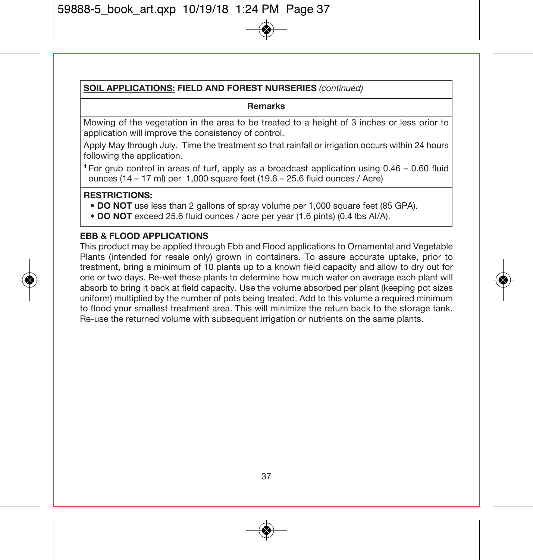#### **SOIL APPLICATIONS: FIELD AND FOREST NURSERIES** (continued)

#### **Remarks**

Mowing of the vegetation in the area to be treated to a height of 3 inches or less prior to application will improve the consistency of control.

Apply May through July. Time the treatment so that rainfall or irrigation occurs within 24 hours following the application.

**<sup>1</sup>**For grub control in areas of turf, apply as a broadcast application using 0.46 – 0.60 fluid ounces (14 – 17 ml) per 1,000 square feet (19.6 – 25.6 fluid ounces / Acre)

#### **RESTRICTIONS:**

- **DO NOT** use less than 2 gallons of spray volume per 1,000 square feet (85 GPA).
- **DO NOT** exceed 25.6 fluid ounces / acre per year (1.6 pints) (0.4 lbs AI/A).

#### **EBB & FLOOD APPLICATIONS**

This product may be applied through Ebb and Flood applications to Ornamental and Vegetable Plants (intended for resale only) grown in containers. To assure accurate uptake, prior to treatment, bring a minimum of 10 plants up to a known field capacity and allow to dry out for one or two days. Re-wet these plants to determine how much water on average each plant will absorb to bring it back at field capacity. Use the volume absorbed per plant (keeping pot sizes uniform) multiplied by the number of pots being treated. Add to this volume a required minimum to flood your smallest treatment area. This will minimize the return back to the storage tank. Re-use the returned volume with subsequent irrigation or nutrients on the same plants.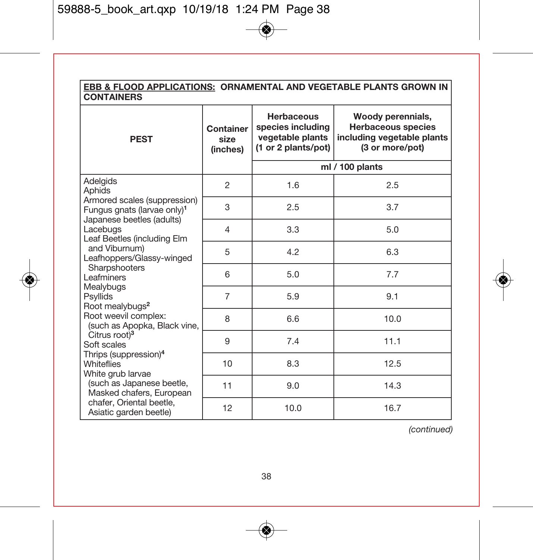# **EBB & FLOOD APPLICATIONS: ORNAMENTAL AND VEGETABLE PLANTS GROWN IN CONTAINERS**

| <b>PEST</b>                                                                                                                                                                                                                                                                                                                                                                                                                                           | Container<br>size<br>(inches) | <b>Herbaceous</b><br>species including<br>vegetable plants<br>(1 or 2 plants/pot) | Woody perennials,<br><b>Herbaceous species</b><br>including vegetable plants<br>(3 or more/pot) |
|-------------------------------------------------------------------------------------------------------------------------------------------------------------------------------------------------------------------------------------------------------------------------------------------------------------------------------------------------------------------------------------------------------------------------------------------------------|-------------------------------|-----------------------------------------------------------------------------------|-------------------------------------------------------------------------------------------------|
|                                                                                                                                                                                                                                                                                                                                                                                                                                                       |                               |                                                                                   | ml / 100 plants                                                                                 |
| Adelgids<br>Aphids                                                                                                                                                                                                                                                                                                                                                                                                                                    | $\overline{2}$                | 1.6                                                                               | 2.5                                                                                             |
| Armored scales (suppression)<br>Fungus gnats (larvae only) <sup>1</sup>                                                                                                                                                                                                                                                                                                                                                                               | 3                             | 2.5                                                                               | 3.7                                                                                             |
| Japanese beetles (adults)<br>Lacebugs<br>Leaf Beetles (including Elm<br>and Viburnum)<br>Leafhoppers/Glassy-winged<br>Sharpshooters<br>Leafminers<br>Mealybugs<br>Psyllids<br>Root mealybugs <sup>2</sup><br>Root weevil complex:<br>(such as Apopka, Black vine,<br>Citrus root) <sup>3</sup><br>Soft scales<br>Thrips (suppression) <sup>4</sup><br><b>Whiteflies</b><br>White grub larvae<br>(such as Japanese beetle,<br>Masked chafers, European | 4                             | 3.3                                                                               | 5.0                                                                                             |
|                                                                                                                                                                                                                                                                                                                                                                                                                                                       | 5                             | 4.2                                                                               | 6.3                                                                                             |
|                                                                                                                                                                                                                                                                                                                                                                                                                                                       | 6                             | 5.0                                                                               | 7.7                                                                                             |
|                                                                                                                                                                                                                                                                                                                                                                                                                                                       | $\overline{7}$                | 5.9                                                                               | 9.1                                                                                             |
|                                                                                                                                                                                                                                                                                                                                                                                                                                                       | 8                             | 6.6                                                                               | 10.0                                                                                            |
|                                                                                                                                                                                                                                                                                                                                                                                                                                                       | 9                             | 7.4                                                                               | 11.1                                                                                            |
|                                                                                                                                                                                                                                                                                                                                                                                                                                                       | 10                            | 8.3                                                                               | 12.5                                                                                            |
|                                                                                                                                                                                                                                                                                                                                                                                                                                                       | 11                            | 9.0                                                                               | 14.3                                                                                            |
| chafer. Oriental beetle.<br>Asiatic garden beetle)                                                                                                                                                                                                                                                                                                                                                                                                    | 12                            | 10.0                                                                              | 16.7                                                                                            |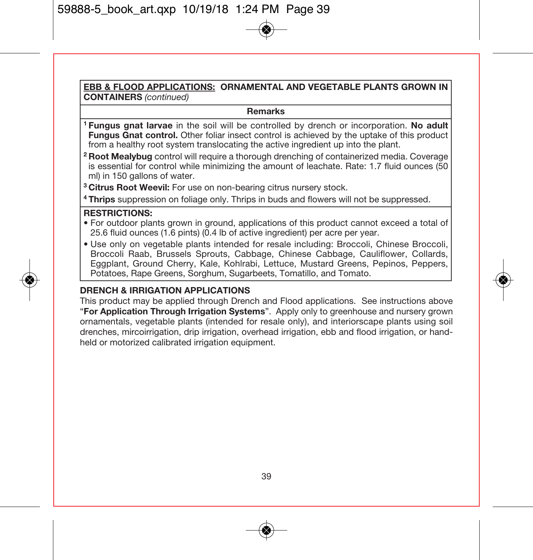#### **EBB & FLOOD APPLICATIONS: ORNAMENTAL AND VEGETABLE PLANTS GROWN IN CONTAINERS** (continued)

#### **Remarks**

- **<sup>1</sup> Fungus gnat larvae** in the soil will be controlled by drench or incorporation. **No adult Fungus Gnat control.** Other foliar insect control is achieved by the uptake of this product from a healthy root system translocating the active ingredient up into the plant.
- **<sup>2</sup> Root Mealybug** control will require a thorough drenching of containerized media. Coverage is essential for control while minimizing the amount of leachate. Rate: 1.7 fluid ounces (50 ml) in 150 gallons of water.
- **<sup>3</sup> Citrus Root Weevil:** For use on non-bearing citrus nursery stock.
- **<sup>4</sup> Thrips** suppression on foliage only. Thrips in buds and flowers will not be suppressed.

#### **RESTRICTIONS:**

- For outdoor plants grown in ground, applications of this product cannot exceed a total of 25.6 fluid ounces (1.6 pints) (0.4 lb of active ingredient) per acre per year.
- Use only on vegetable plants intended for resale including: Broccoli, Chinese Broccoli, Broccoli Raab, Brussels Sprouts, Cabbage, Chinese Cabbage, Cauliflower, Collards, Eggplant, Ground Cherry, Kale, Kohlrabi, Lettuce, Mustard Greens, Pepinos, Peppers, Potatoes, Rape Greens, Sorghum, Sugarbeets, Tomatillo, and Tomato.

#### **DRENCH & IRRIGATION APPLICATIONS**

This product may be applied through Drench and Flood applications. See instructions above "**For Application Through Irrigation Systems**". Apply only to greenhouse and nursery grown ornamentals, vegetable plants (intended for resale only), and interiorscape plants using soil drenches, mircoirrigation, drip irrigation, overhead irrigation, ebb and flood irrigation, or handheld or motorized calibrated irrigation equipment.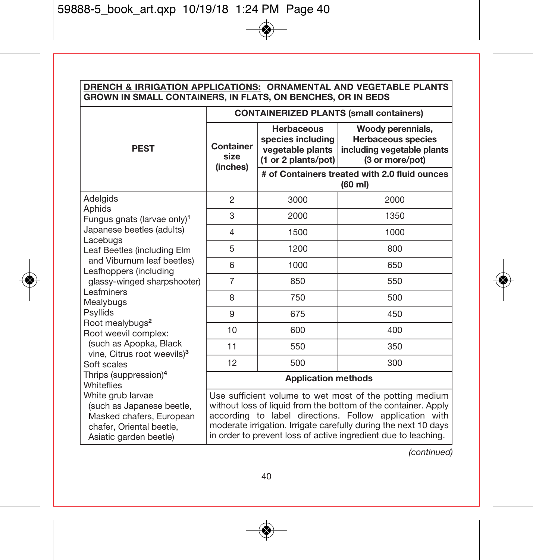| DRENCH & IRRIGATION APPLICATIONS: ORNAMENTAL AND VEGETABLE PLANTS<br>GROWN IN SMALL CONTAINERS, IN FLATS, ON BENCHES, OR IN BEDS                                                                                                                                                                                                                                                                               |                                                                                                                                                                                                                                                                                                                          |                                                                            |                                                                                                 |  |  |
|----------------------------------------------------------------------------------------------------------------------------------------------------------------------------------------------------------------------------------------------------------------------------------------------------------------------------------------------------------------------------------------------------------------|--------------------------------------------------------------------------------------------------------------------------------------------------------------------------------------------------------------------------------------------------------------------------------------------------------------------------|----------------------------------------------------------------------------|-------------------------------------------------------------------------------------------------|--|--|
|                                                                                                                                                                                                                                                                                                                                                                                                                | <b>CONTAINERIZED PLANTS (small containers)</b>                                                                                                                                                                                                                                                                           |                                                                            |                                                                                                 |  |  |
| <b>PEST</b>                                                                                                                                                                                                                                                                                                                                                                                                    | Container<br>size<br>(inches)                                                                                                                                                                                                                                                                                            | Herbaceous<br>species including<br>vegetable plants<br>(1 or 2 plants/pot) | Woody perennials,<br><b>Herbaceous species</b><br>including vegetable plants<br>(3 or more/pot) |  |  |
|                                                                                                                                                                                                                                                                                                                                                                                                                |                                                                                                                                                                                                                                                                                                                          | # of Containers treated with 2.0 fluid ounces<br>$(60 \text{ ml})$         |                                                                                                 |  |  |
| Adelgids<br>Aphids<br>Fungus gnats (larvae only) <sup>1</sup><br>Japanese beetles (adults)<br>Lacebugs<br>Leaf Beetles (including Elm<br>and Viburnum leaf beetles)<br>Leafhoppers (including<br>glassy-winged sharpshooter)<br>Leafminers<br>Mealybugs<br>Psyllids<br>Root mealybugs <sup>2</sup><br>Root weevil complex:<br>(such as Apopka, Black<br>vine, Citrus root weevils) <sup>3</sup><br>Soft scales | $\overline{2}$                                                                                                                                                                                                                                                                                                           | 3000                                                                       | 2000                                                                                            |  |  |
|                                                                                                                                                                                                                                                                                                                                                                                                                | 3                                                                                                                                                                                                                                                                                                                        | 2000                                                                       | 1350                                                                                            |  |  |
|                                                                                                                                                                                                                                                                                                                                                                                                                | 4                                                                                                                                                                                                                                                                                                                        | 1500                                                                       | 1000                                                                                            |  |  |
|                                                                                                                                                                                                                                                                                                                                                                                                                | 5                                                                                                                                                                                                                                                                                                                        | 1200                                                                       | 800                                                                                             |  |  |
|                                                                                                                                                                                                                                                                                                                                                                                                                | 6                                                                                                                                                                                                                                                                                                                        | 1000                                                                       | 650                                                                                             |  |  |
|                                                                                                                                                                                                                                                                                                                                                                                                                | $\overline{7}$                                                                                                                                                                                                                                                                                                           | 850                                                                        | 550                                                                                             |  |  |
|                                                                                                                                                                                                                                                                                                                                                                                                                | 8                                                                                                                                                                                                                                                                                                                        | 750                                                                        | 500                                                                                             |  |  |
|                                                                                                                                                                                                                                                                                                                                                                                                                | 9                                                                                                                                                                                                                                                                                                                        | 675                                                                        | 450                                                                                             |  |  |
|                                                                                                                                                                                                                                                                                                                                                                                                                | 10                                                                                                                                                                                                                                                                                                                       | 600                                                                        | 400                                                                                             |  |  |
|                                                                                                                                                                                                                                                                                                                                                                                                                | 11                                                                                                                                                                                                                                                                                                                       | 550                                                                        | 350                                                                                             |  |  |
|                                                                                                                                                                                                                                                                                                                                                                                                                | 12                                                                                                                                                                                                                                                                                                                       | 500                                                                        | 300                                                                                             |  |  |
| Thrips (suppression) <sup>4</sup><br>Whiteflies                                                                                                                                                                                                                                                                                                                                                                | <b>Application methods</b>                                                                                                                                                                                                                                                                                               |                                                                            |                                                                                                 |  |  |
| White grub larvae<br>(such as Japanese beetle,<br>Masked chafers, European<br>chafer, Oriental beetle,<br>Asiatic garden beetle)                                                                                                                                                                                                                                                                               | Use sufficient volume to wet most of the potting medium<br>without loss of liquid from the bottom of the container. Apply<br>according to label directions. Follow application with<br>moderate irrigation. Irrigate carefully during the next 10 days<br>in order to prevent loss of active ingredient due to leaching. |                                                                            |                                                                                                 |  |  |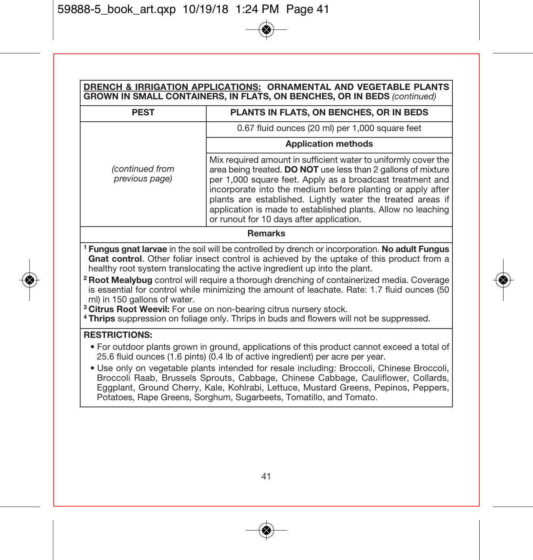| DRENCH & IRRIGATION APPLICATIONS: ORNAMENTAL AND VEGETABLE PLANTS<br>GROWN IN SMALL CONTAINERS, IN FLATS, ON BENCHES, OR IN BEDS (continued)                                                                                                                                                                                                |                                                                                                                                                                                                                                                                                                                                                                                                                                      |  |  |  |
|---------------------------------------------------------------------------------------------------------------------------------------------------------------------------------------------------------------------------------------------------------------------------------------------------------------------------------------------|--------------------------------------------------------------------------------------------------------------------------------------------------------------------------------------------------------------------------------------------------------------------------------------------------------------------------------------------------------------------------------------------------------------------------------------|--|--|--|
| <b>PEST</b>                                                                                                                                                                                                                                                                                                                                 | PLANTS IN FLATS, ON BENCHES, OR IN BEDS                                                                                                                                                                                                                                                                                                                                                                                              |  |  |  |
|                                                                                                                                                                                                                                                                                                                                             | 0.67 fluid ounces (20 ml) per 1,000 square feet                                                                                                                                                                                                                                                                                                                                                                                      |  |  |  |
|                                                                                                                                                                                                                                                                                                                                             | <b>Application methods</b>                                                                                                                                                                                                                                                                                                                                                                                                           |  |  |  |
| (continued from<br>previous page)                                                                                                                                                                                                                                                                                                           | Mix required amount in sufficient water to uniformly cover the<br>area being treated. DO NOT use less than 2 gallons of mixture<br>per 1,000 square feet. Apply as a broadcast treatment and<br>incorporate into the medium before planting or apply after<br>plants are established. Lightly water the treated areas if<br>application is made to established plants. Allow no leaching<br>or runout for 10 days after application. |  |  |  |
| <b>Remarks</b>                                                                                                                                                                                                                                                                                                                              |                                                                                                                                                                                                                                                                                                                                                                                                                                      |  |  |  |
| <sup>1</sup> Fungus gnat larvae in the soil will be controlled by drench or incorporation. No adult Fungus<br>Gnat control. Other foliar insect control is achieved by the uptake of this product from a<br>healthy root system translocating the active ingredient up into the plant.                                                      |                                                                                                                                                                                                                                                                                                                                                                                                                                      |  |  |  |
| <sup>2</sup> Root Mealybug control will require a thorough drenching of containerized media. Coverage<br>is essential for control while minimizing the amount of leachate. Rate: 1.7 fluid ounces (50<br>ml) in 150 gallons of water.                                                                                                       |                                                                                                                                                                                                                                                                                                                                                                                                                                      |  |  |  |
| <sup>3</sup> Citrus Root Weevil: For use on non-bearing citrus nursery stock.                                                                                                                                                                                                                                                               |                                                                                                                                                                                                                                                                                                                                                                                                                                      |  |  |  |
| <sup>4</sup> Thrips suppression on foliage only. Thrips in buds and flowers will not be suppressed.                                                                                                                                                                                                                                         |                                                                                                                                                                                                                                                                                                                                                                                                                                      |  |  |  |
| <b>RESTRICTIONS:</b>                                                                                                                                                                                                                                                                                                                        |                                                                                                                                                                                                                                                                                                                                                                                                                                      |  |  |  |
| . For outdoor plants grown in ground, applications of this product cannot exceed a total of<br>25.6 fluid ounces (1.6 pints) (0.4 lb of active ingredient) per acre per year.                                                                                                                                                               |                                                                                                                                                                                                                                                                                                                                                                                                                                      |  |  |  |
| • Use only on vegetable plants intended for resale including: Broccoli, Chinese Broccoli,<br>Broccoli Raab, Brussels Sprouts, Cabbage, Chinese Cabbage, Cauliflower, Collards,<br>Eggplant, Ground Cherry, Kale, Kohlrabi, Lettuce, Mustard Greens, Pepinos, Peppers,<br>Potatoes, Rape Greens, Sorghum, Sugarbeets, Tomatillo, and Tomato. |                                                                                                                                                                                                                                                                                                                                                                                                                                      |  |  |  |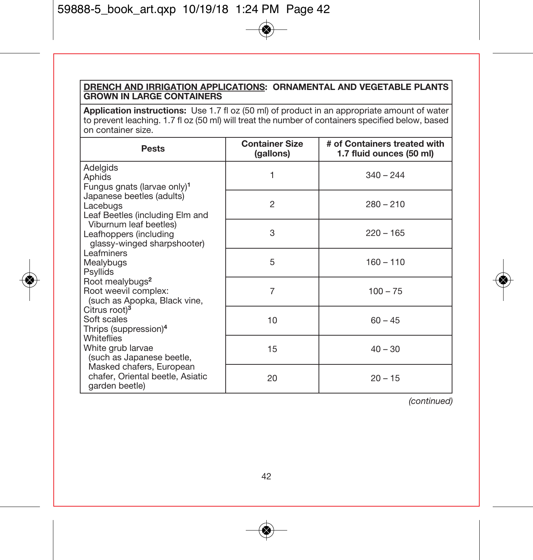# **DRENCH AND IRRIGATION APPLICATIONS: ORNAMENTAL AND VEGETABLE PLANTS GROWN IN LARGE CONTAINERS**

**Application instructions:** Use 1.7 fl oz (50 ml) of product in an appropriate amount of water to prevent leaching. 1.7 fl oz (50 ml) will treat the number of containers specified below, based on container size.

| Pests                                                                                                                                                                                                                                                                                                                                                                                                                                                                                                                                                                                                | <b>Container Size</b><br>(gallons) | # of Containers treated with<br>1.7 fluid ounces (50 ml) |
|------------------------------------------------------------------------------------------------------------------------------------------------------------------------------------------------------------------------------------------------------------------------------------------------------------------------------------------------------------------------------------------------------------------------------------------------------------------------------------------------------------------------------------------------------------------------------------------------------|------------------------------------|----------------------------------------------------------|
| Adelgids<br>Aphids<br>Fungus gnats (larvae only) <sup>1</sup><br>Japanese beetles (adults)<br>Lacebugs<br>Leaf Beetles (including Elm and<br>Viburnum leaf beetles)<br>Leafhoppers (including<br>glassy-winged sharpshooter)<br>Leafminers<br>Mealybugs<br>Psyllids<br>Root mealybugs <sup>2</sup><br>Root weevil complex:<br>(such as Apopka, Black vine,<br>Citrus root) <sup>3</sup><br>Soft scales<br>Thrips (suppression) <sup>4</sup><br><b>Whiteflies</b><br>White grub larvae<br>(such as Japanese beetle,<br>Masked chafers, European<br>chafer, Oriental beetle, Asiatic<br>garden beetle) | 1                                  | $340 - 244$                                              |
|                                                                                                                                                                                                                                                                                                                                                                                                                                                                                                                                                                                                      | $\overline{2}$                     | $280 - 210$                                              |
|                                                                                                                                                                                                                                                                                                                                                                                                                                                                                                                                                                                                      | 3                                  | $220 - 165$                                              |
|                                                                                                                                                                                                                                                                                                                                                                                                                                                                                                                                                                                                      | 5                                  | $160 - 110$                                              |
|                                                                                                                                                                                                                                                                                                                                                                                                                                                                                                                                                                                                      | 7                                  | $100 - 75$                                               |
|                                                                                                                                                                                                                                                                                                                                                                                                                                                                                                                                                                                                      | 10                                 | $60 - 45$                                                |
|                                                                                                                                                                                                                                                                                                                                                                                                                                                                                                                                                                                                      | 15                                 | $40 - 30$                                                |
|                                                                                                                                                                                                                                                                                                                                                                                                                                                                                                                                                                                                      | 20                                 | $20 - 15$                                                |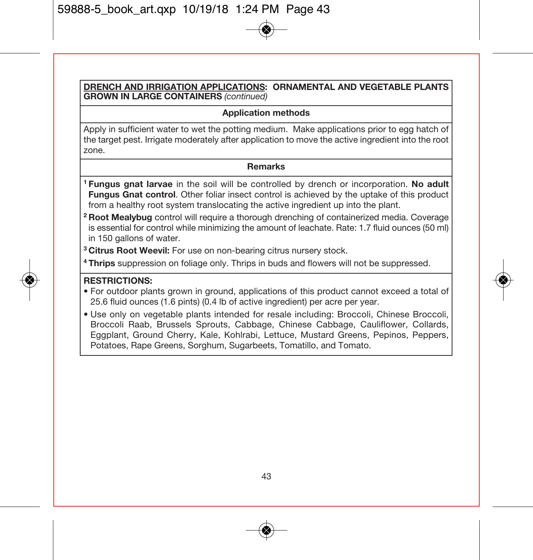**DRENCH AND IRRIGATION APPLICATIONS: ORNAMENTAL AND VEGETABLE PLANTS GROWN IN LARGE CONTAINERS** (continued)

#### **Application methods**

Apply in sufficient water to wet the potting medium. Make applications prior to egg hatch of the target pest. Irrigate moderately after application to move the active ingredient into the root zone.

#### **Remarks**

- **1 Fungus gnat larvae** in the soil will be controlled by drench or incorporation. **No adult Fungus Gnat control**. Other foliar insect control is achieved by the uptake of this product from a healthy root system translocating the active ingredient up into the plant.
- **2 Root Mealybug** control will require a thorough drenching of containerized media. Coverage is essential for control while minimizing the amount of leachate. Rate: 1.7 fluid ounces (50 ml) in 150 gallons of water.
- **3 Citrus Root Weevil:** For use on non-bearing citrus nursery stock.

**4 Thrips** suppression on foliage only. Thrips in buds and flowers will not be suppressed.

#### **RESTRICTIONS:**

- For outdoor plants grown in ground, applications of this product cannot exceed a total of 25.6 fluid ounces (1.6 pints) (0.4 lb of active ingredient) per acre per year.
- Use only on vegetable plants intended for resale including: Broccoli, Chinese Broccoli, Broccoli Raab, Brussels Sprouts, Cabbage, Chinese Cabbage, Cauliflower, Collards, Eggplant, Ground Cherry, Kale, Kohlrabi, Lettuce, Mustard Greens, Pepinos, Peppers, Potatoes, Rape Greens, Sorghum, Sugarbeets, Tomatillo, and Tomato.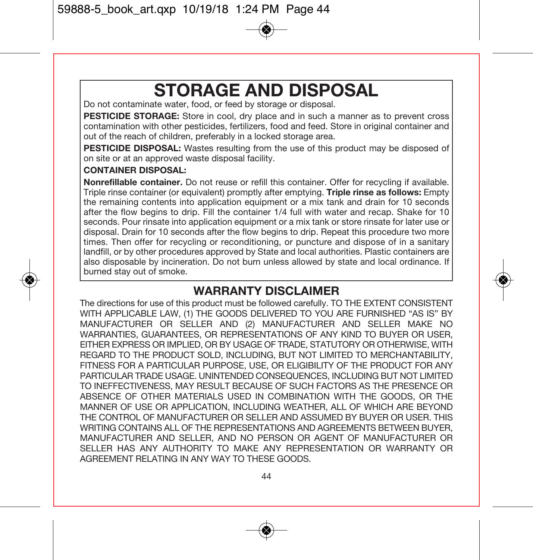# **STORAGE AND DISPOSAL**

Do not contaminate water, food, or feed by storage or disposal.

**PESTICIDE STORAGE:** Store in cool, dry place and in such a manner as to prevent cross contamination with other pesticides, fertilizers, food and feed. Store in original container and out of the reach of children, preferably in a locked storage area.

**PESTICIDE DISPOSAL:** Wastes resulting from the use of this product may be disposed of on site or at an approved waste disposal facility.

#### **CONTAINER DISPOSAL:**

**Nonrefillable container.** Do not reuse or refill this container. Offer for recycling if available. Triple rinse container (or equivalent) promptly after emptying. **Triple rinse as follows:** Empty the remaining contents into application equipment or a mix tank and drain for 10 seconds after the flow begins to drip. Fill the container 1/4 full with water and recap. Shake for 10 seconds. Pour rinsate into application equipment or a mix tank or store rinsate for later use or disposal. Drain for 10 seconds after the flow begins to drip. Repeat this procedure two more times. Then offer for recycling or reconditioning, or puncture and dispose of in a sanitary landfill, or by other procedures approved by State and local authorities. Plastic containers are also disposable by incineration. Do not burn unless allowed by state and local ordinance. If burned stay out of smoke.

# **WARRANTY DISCLAIMER**

The directions for use of this product must be followed carefully. TO THE EXTENT CONSISTENT WITH APPLICABLE LAW, (1) THE GOODS DELIVERED TO YOU ARE FURNISHED "AS IS" BY MANUFACTURER OR SELLER AND (2) MANUFACTURER AND SELLER MAKE NO WARRANTIES, GUARANTEES, OR REPRESENTATIONS OF ANY KIND TO BUYER OR USER, EITHER EXPRESS OR IMPLIED, OR BY USAGE OF TRADE, STATUTORY OR OTHERWISE, WITH REGARD TO THE PRODUCT SOLD, INCLUDING, BUT NOT LIMITED TO MERCHANTABILITY, FITNESS FOR A PARTICULAR PURPOSE, USE, OR ELIGIBILITY OF THE PRODUCT FOR ANY PARTICULAR TRADE USAGE. UNINTENDED CONSEQUENCES, INCLUDING BUT NOT LIMITED TO INEFFECTIVENESS, MAY RESULT BECAUSE OF SUCH FACTORS AS THE PRESENCE OR ABSENCE OF OTHER MATERIALS USED IN COMBINATION WITH THE GOODS, OR THE MANNER OF USE OR APPLICATION, INCLUDING WEATHER, ALL OF WHICH ARE BEYOND THE CONTROL OF MANUFACTURER OR SELLER AND ASSUMED BY BUYER OR USER. THIS WRITING CONTAINS ALL OF THE REPRESENTATIONS AND AGREEMENTS RETWEEN BUYER. MANUFACTURER AND SELLER, AND NO PERSON OR AGENT OF MANUFACTURER OR SELLER HAS ANY AUTHORITY TO MAKE ANY REPRESENTATION OR WARRANTY OR AGREEMENT RELATING IN ANY WAY TO THESE GOODS.